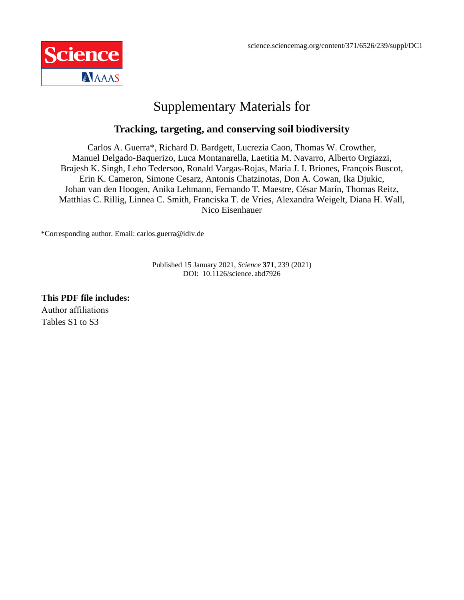

# Supplementary Materials for

#### **Tracking, targeting, and conserving soil biodiversity**

Carlos A. Guerra\*, Richard D. Bardgett, Lucrezia Caon, Thomas W. Crowther, Manuel Delgado-Baquerizo, Luca Montanarella, Laetitia M. Navarro, Alberto Orgiazzi, Brajesh K. Singh, Leho Tedersoo, Ronald Vargas-Rojas, Maria J. I. Briones, François Buscot, Erin K. Cameron, Simone Cesarz, Antonis Chatzinotas, Don A. Cowan, Ika Djukic, Johan van den Hoogen, Anika Lehmann, Fernando T. Maestre, César Marín, Thomas Reitz, Matthias C. Rillig, Linnea C. Smith, Franciska T. de Vries, Alexandra Weigelt, Diana H. Wall, Nico Eisenhauer

\*Corresponding author. Email: carlos.guerra@idiv.de

Published 15 January 2021, *Science* **371**, 239 (2021) DOI: 10.1126/science. abd7926

**This PDF file includes:**  Author affiliations Tables S1 to S3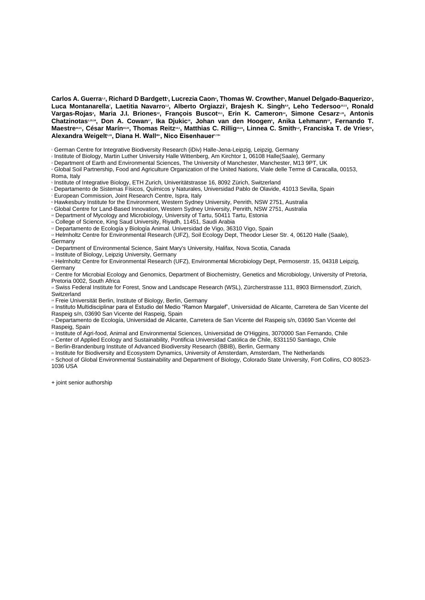$\bf{C}$ arlos A. Guerra $\cdot$ , Richard D Bardgett $\cdot$ , Lucrezia Caon $\cdot$ , Thomas W. Crowther $\cdot$ , Manuel Delgado-Baquerizo $\cdot$ , **Luca Montanarella<sup>7</sup> , Laetitia Navarro1,2, Alberto Orgiazzi<sup>7</sup> , Brajesh K. Singh8,9, Leho Tedersoo10,11, Ronald Vargas-Rojas<sup>4</sup> , Maria J.I. Briones12, François Buscot13,1, Erin K. Cameron14, Simone Cesarz1,15, Antonis Chatzinotas1,15,16, Don A. Cowan17, Ika Djukic18, Johan van den Hoogen<sup>5</sup> , Anika Lehmann19, Fernando T. Maestre20,21, César Marín22,23, Thomas Reitz13,1, Matthias C. Rillig19,24, Linnea C. Smith1,2, Franciska T. de Vries<sup>25</sup> , Alexandra Weigelt1,15 , Diana H. Wall26+ , Nico Eisenhauer1,15+**

<sup>1</sup> German Centre for Integrative Biodiversity Research (iDiv) Halle-Jena-Leipzig, Leipzig, Germany

<sup>2</sup> Institute of Biology, Martin Luther University Halle Wittenberg, Am Kirchtor 1, 06108 Halle(Saale), Germany

<sup>3</sup> Department of Earth and Environmental Sciences, The University of Manchester, Manchester, M13 9PT, UK

<sup>4</sup> Global Soil Partnership, Food and Agriculture Organization of the United Nations, Viale delle Terme di Caracalla, 00153, Roma, Italy

<sup>5</sup> Institute of Integrative Biology, ETH Zurich, Univeritätstrasse 16, 8092 Zürich, Switzerland

<sup>6</sup> Departamento de Sistemas Físicos, Químicos y Naturales, Universidad Pablo de Olavide, 41013 Sevilla, Spain

<sup>7</sup> European Commission, Joint Research Centre, Ispra, Italy

<sup>8</sup> Hawkesbury Institute for the Environment, Western Sydney University, Penrith, NSW 2751, Australia

<sup>9</sup> Global Centre for Land-Based Innovation, Western Sydney University, Penrith, NSW 2751, Australia

<sup>10</sup> Department of Mycology and Microbiology, University of Tartu, 50411 Tartu, Estonia

" College of Science, King Saud University, Riyadh, 11451, Saudi Arabia

<sup>12</sup> Departamento de Ecología y Biología Animal. Universidad de Vigo, 36310 Vigo, Spain

<sup>13</sup> Helmholtz Centre for Environmental Research (UFZ), Soil Ecology Dept, Theodor Lieser Str. 4, 06120 Halle (Saale), Germany

<sup>14</sup> Department of Environmental Science, Saint Mary's University, Halifax, Nova Scotia, Canada

<sup>15</sup> Institute of Biology, Leipzig University, Germany

<sup>16</sup> Helmholtz Centre for Environmental Research (UFZ), Environmental Microbiology Dept, Permoserstr. 15, 04318 Leipzig, **Germany** 

<sup>17</sup> Centre for Microbial Ecology and Genomics, Department of Biochemistry, Genetics and Microbiology, University of Pretoria, Pretoria 0002, South Africa

<sup>18</sup> Swiss Federal Institute for Forest, Snow and Landscape Research (WSL), Zürcherstrasse 111, 8903 Birmensdorf, Zürich, **Switzerland** 

<sup>19</sup> Freie Universität Berlin, Institute of Biology, Berlin, Germany

<sup>20</sup> Instituto Multidisciplinar para el Estudio del Medio "Ramon Margalef", Universidad de Alicante, Carretera de San Vicente del Raspeig s/n, 03690 San Vicente del Raspeig, Spain

<sup>21</sup> Departamento de Ecología, Universidad de Alicante, Carretera de San Vicente del Raspeig s/n, 03690 San Vicente del Raspeig, Spain

<sup>22</sup> Institute of Agri-food, Animal and Environmental Sciences, Universidad de O'Higgins, 3070000 San Fernando, Chile

<sup>23</sup> Center of Applied Ecology and Sustainability, Pontificia Universidad Católica de Chile, 8331150 Santiago, Chile

<sup>24</sup> Berlin-Brandenburg Institute of Advanced Biodiversity Research (BBIB), Berlin, Germany

<sup>25</sup> Institute for Biodiversity and Ecosystem Dynamics, University of Amsterdam, Amsterdam, The Netherlands

<sup>26</sup> School of Global Environmental Sustainability and Department of Biology, Colorado State University, Fort Collins, CO 80523- 1036 USA

+ joint senior authorship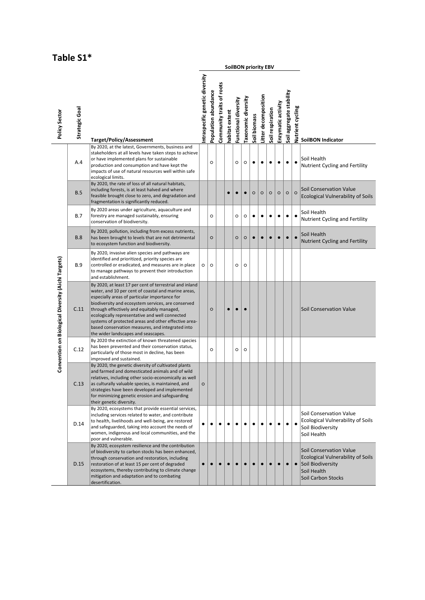#### **Table S1\***

|                                                    |                                                                                                                                                                      |                                                                                                                                                                                                                                                                                                                                                                                                                                                                          | SoilBON priority EBV           |                      |                           |                |                      |                            |              |                      |                  |                    |                          |                                               |                                                                                                                                             |
|----------------------------------------------------|----------------------------------------------------------------------------------------------------------------------------------------------------------------------|--------------------------------------------------------------------------------------------------------------------------------------------------------------------------------------------------------------------------------------------------------------------------------------------------------------------------------------------------------------------------------------------------------------------------------------------------------------------------|--------------------------------|----------------------|---------------------------|----------------|----------------------|----------------------------|--------------|----------------------|------------------|--------------------|--------------------------|-----------------------------------------------|---------------------------------------------------------------------------------------------------------------------------------------------|
| Policy Sector                                      | Strategic Goal                                                                                                                                                       | <b>Target/Policy/Assessment</b>                                                                                                                                                                                                                                                                                                                                                                                                                                          | ntraspecific genetic diversity | Population abundance | Community traits of roots | nabitat extent | Functional diversity | <b>Taxonomic diversity</b> | Soil biomass | Litter decomposition | Soil respiration | Enzymatic activity | Soil aggregate stability | Nutrient cycling                              | <b>SoilBON Indicator</b>                                                                                                                    |
|                                                    | A.4                                                                                                                                                                  | By 2020, at the latest, Governments, business and<br>stakeholders at all levels have taken steps to achieve<br>or have implemented plans for sustainable<br>production and consumption and have kept the<br>impacts of use of natural resources well within safe<br>ecological limits.                                                                                                                                                                                   |                                | $\circ$              |                           |                | $\circ$              | $\circ$                    | ٠            | ٠                    | ٠                | ٠                  | $\bullet$                |                                               | Soil Health<br>Nutrient Cycling and Fertility                                                                                               |
|                                                    | B.5                                                                                                                                                                  | By 2020, the rate of loss of all natural habitats,<br>including forests, is at least halved and where<br>feasible brought close to zero, and degradation and<br>fragmentation is significantly reduced.<br>By 2020 areas under agriculture, aquaculture and                                                                                                                                                                                                              |                                |                      |                           |                |                      | $\bullet$                  | $\circ$      | $\circ$              | $\circ$          | $\circ$            | $\circ$                  | $\circ$                                       | Soil Conservation Value<br><b>Ecological Vulnerability of Soils</b>                                                                         |
|                                                    | <b>B.7</b>                                                                                                                                                           |                                                                                                                                                                                                                                                                                                                                                                                                                                                                          | $\circ$                        |                      |                           | $\circ$        | $\circ$              | $\bullet$                  | $\bullet$    | ٠                    | ٠                | $\bullet$          | $\bullet$                | Soil Health<br>Nutrient Cycling and Fertility |                                                                                                                                             |
|                                                    | By 2020, pollution, including from excess nutrients,<br><b>B.8</b><br>has been brought to levels that are not detrimental<br>to ecosystem function and biodiversity. |                                                                                                                                                                                                                                                                                                                                                                                                                                                                          |                                | $\circ$              |                           |                | $\circ$              | $\circ$                    | $\bullet$    | $\bullet$            | $\bullet$        | $\bullet$          | $\bullet$                | $\bullet$                                     | Soil Health<br>Nutrient Cycling and Fertility                                                                                               |
|                                                    | <b>B.9</b>                                                                                                                                                           | By 2020, invasive alien species and pathways are<br>identified and prioritized, priority species are<br>controlled or eradicated, and measures are in place<br>to manage pathways to prevent their introduction<br>and establishment.                                                                                                                                                                                                                                    | $\circ$                        | $\circ$              |                           |                | $\circ$              | $\circ$                    |              |                      |                  |                    |                          |                                               |                                                                                                                                             |
| Convention on Biological Diversity (Aichi Targets) | C.11                                                                                                                                                                 | By 2020, at least 17 per cent of terrestrial and inland<br>water, and 10 per cent of coastal and marine areas,<br>especially areas of particular importance for<br>biodiversity and ecosystem services, are conserved<br>through effectively and equitably managed,<br>ecologically representative and well connected<br>systems of protected areas and other effective area-<br>based conservation measures, and integrated into<br>the wider landscapes and seascapes. |                                | $\circ$              |                           | $\bullet$      | $\bullet$            |                            |              |                      |                  |                    |                          |                                               | <b>Soil Conservation Value</b>                                                                                                              |
|                                                    | C.12                                                                                                                                                                 | By 2020 the extinction of known threatened species<br>has been prevented and their conservation status,<br>particularly of those most in decline, has been<br>improved and sustained.                                                                                                                                                                                                                                                                                    |                                | $\circ$              |                           |                | $\circ$              | $\circ$                    |              |                      |                  |                    |                          |                                               |                                                                                                                                             |
|                                                    | C.13                                                                                                                                                                 | By 2020, the genetic diversity of cultivated plants<br>and farmed and domesticated animals and of wild<br>relatives, including other socio-economically as well<br>as culturally valuable species, is maintained, and<br>strategies have been developed and implemented<br>for minimizing genetic erosion and safeguarding<br>their genetic diversity.                                                                                                                   | $\circ$                        |                      |                           |                |                      |                            |              |                      |                  |                    |                          |                                               |                                                                                                                                             |
|                                                    | D.14                                                                                                                                                                 | By 2020, ecosystems that provide essential services,<br>including services related to water, and contribute<br>to health, livelihoods and well-being, are restored<br>and safeguarded, taking into account the needs of<br>women, indigenous and local communities, and the<br>poor and vulnerable.                                                                                                                                                                      |                                | ٠                    |                           |                | ٠                    |                            |              | $\bullet$            | ٠                | ٠                  | $\bullet$                | $\bullet$                                     | Soil Conservation Value<br><b>Ecological Vulnerability of Soils</b><br>Soil Biodiversity<br>Soil Health                                     |
|                                                    | D.15                                                                                                                                                                 | By 2020, ecosystem resilience and the contribution<br>of biodiversity to carbon stocks has been enhanced,<br>through conservation and restoration, including<br>restoration of at least 15 per cent of degraded<br>ecosystems, thereby contributing to climate change<br>mitigation and adaptation and to combating<br>desertification.                                                                                                                                  |                                |                      |                           |                |                      |                            |              |                      | $\bullet$        | $\bullet$          | $\bullet$                | $\bullet$                                     | <b>Soil Conservation Value</b><br><b>Ecological Vulnerability of Soils</b><br>Soil Biodiversity<br>Soil Health<br><b>Soil Carbon Stocks</b> |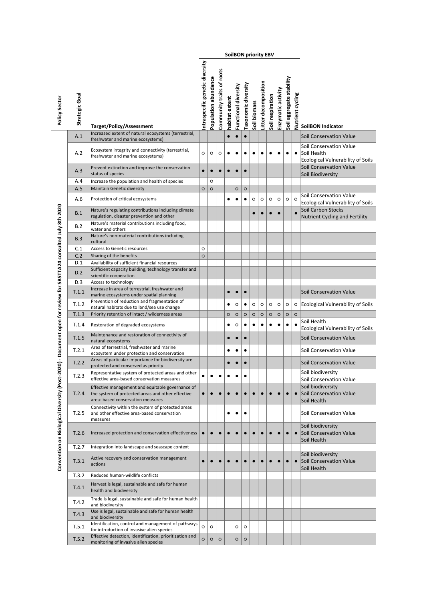|                                                                      |                |                                                                                                                                            |                                |                      |                           |                |                      |                    | <b>SoilBON priority EBV</b> |                      |                  |                    |                          |                         |                                                                                    |
|----------------------------------------------------------------------|----------------|--------------------------------------------------------------------------------------------------------------------------------------------|--------------------------------|----------------------|---------------------------|----------------|----------------------|--------------------|-----------------------------|----------------------|------------------|--------------------|--------------------------|-------------------------|------------------------------------------------------------------------------------|
| Policy Sector                                                        | Strategic Goal | <b>Target/Policy/Assessment</b>                                                                                                            | ntraspecific genetic diversity | Population abundance | Community traits of roots | habitat extent | Functional diversity | axonomic diversity | Soil biomass                | Litter decomposition | Soil respiration | Enzymatic activity | Soil aggregate stability | <b>Nutrient cycling</b> | <b>SoilBON Indicator</b>                                                           |
|                                                                      | A.1            | Increased extent of natural ecosystems (terrestrial,<br>freshwater and marine ecosystems)                                                  |                                |                      |                           | $\bullet$      | $\bullet$            | $\bullet$          |                             |                      |                  |                    |                          |                         | Soil Conservation Value                                                            |
|                                                                      | A.2            | Ecosystem integrity and connectivity (terrestrial,<br>freshwater and marine ecosystems)                                                    | $\circ$                        | $\circ$              | O                         | ٠              | $\bullet$            | ٠                  | ٠                           | ٠                    |                  | ٠                  | $\bullet$                | $\bullet$               | Soil Conservation Value<br>Soil Health<br><b>Ecological Vulnerability of Soils</b> |
|                                                                      | A.3            | Prevent extinction and improve the conservation<br>status of species                                                                       | $\bullet$                      | $\bullet$            |                           | $\bullet$      | $\bullet$            | $\bullet$          |                             |                      |                  |                    |                          |                         | Soil Conservation Value<br>Soil Biodiversity                                       |
|                                                                      | A.4            | Increase the population and health of species                                                                                              |                                | $\circ$              |                           |                |                      |                    |                             |                      |                  |                    |                          |                         |                                                                                    |
|                                                                      | A.5            | <b>Maintain Genetic diversity</b>                                                                                                          | $\circ$                        | $\circ$              |                           |                | $\circ$              | $\circ$            |                             |                      |                  |                    |                          |                         |                                                                                    |
|                                                                      | A.6            | Protection of critical ecosystems                                                                                                          |                                |                      |                           |                |                      | ٠                  | $\circ$                     | $\circ$              | $\circ$          | $\circ$            | $\circ$                  | $\circ$                 | Soil Conservation Value<br><b>Ecological Vulnerability of Soils</b>                |
| 020) - Document open for review for SBSTTA24 consulted July 8th 2020 | B.1            | Nature's regulating contributions including climate<br>regulation, disaster prevention and other                                           |                                |                      |                           |                |                      |                    | $\bullet$                   | $\bullet$            |                  | $\bullet$          |                          |                         | Soil Carbon Stocks<br>Nutrient Cycling and Fertility                               |
|                                                                      | B.2            | Nature's material contributions including food,<br>water and others                                                                        |                                |                      |                           |                |                      |                    |                             |                      |                  |                    |                          |                         |                                                                                    |
|                                                                      | B.3            | Nature's non-material contributions including<br>cultural                                                                                  |                                |                      |                           |                |                      |                    |                             |                      |                  |                    |                          |                         |                                                                                    |
|                                                                      | C.1            | <b>Access to Genetic resources</b>                                                                                                         | $\circ$                        |                      |                           |                |                      |                    |                             |                      |                  |                    |                          |                         |                                                                                    |
|                                                                      | C.2            | Sharing of the benefits                                                                                                                    | $\circ$                        |                      |                           |                |                      |                    |                             |                      |                  |                    |                          |                         |                                                                                    |
|                                                                      | D.1            | Availability of sufficient financial resources                                                                                             |                                |                      |                           |                |                      |                    |                             |                      |                  |                    |                          |                         |                                                                                    |
|                                                                      | D.2            | Sufficient capacity building, technology transfer and<br>scientific cooperation                                                            |                                |                      |                           |                |                      |                    |                             |                      |                  |                    |                          |                         |                                                                                    |
|                                                                      | D.3            | Access to technology                                                                                                                       |                                |                      |                           |                |                      |                    |                             |                      |                  |                    |                          |                         |                                                                                    |
|                                                                      | T.1.1          | Increase in area of terrestrial, freshwater and                                                                                            |                                |                      |                           | $\bullet$      | $\bullet$            | $\bullet$          |                             |                      |                  |                    |                          |                         | <b>Soil Conservation Value</b>                                                     |
|                                                                      |                | marine ecosystems under spatial planning<br>Prevention of reduction and fragmentation of                                                   |                                |                      |                           |                |                      |                    |                             |                      |                  |                    |                          |                         |                                                                                    |
|                                                                      | T.1.2          | natural habitats due to land/sea use change                                                                                                |                                |                      |                           | ٠              | O                    | ٠                  | $\circ$                     | $\circ$              | $\circ$          | $\circ$            | $\circ$                  |                         | o Ecological Vulnerability of Soils                                                |
|                                                                      | T.1.3          | Priority retention of intact / wilderness areas                                                                                            |                                |                      |                           | $\circ$        | $\circ$              | $\circ$            | $\circ$                     | $\circ$              | $\circ$          | $\circ$            | $\circ$                  | $\circ$                 |                                                                                    |
|                                                                      | T.1.4          | Restoration of degraded ecosystems                                                                                                         |                                |                      |                           | ٠              | $\circ$              | $\bullet$          | $\bullet$                   | $\bullet$            | $\bullet$        | $\bullet$          | $\bullet$                | $\bullet$               | Soil Health<br><b>Ecological Vulnerability of Soils</b>                            |
|                                                                      | T.1.5          | Maintenance and restoration of connectivity of<br>natural ecosystems                                                                       |                                |                      |                           | $\bullet$      | $\bullet$            | $\bullet$          |                             |                      |                  |                    |                          |                         | <b>Soil Conservation Value</b>                                                     |
|                                                                      | T.2.1          | Area of terrestrial, freshwater and marine<br>ecosystem under protection and conservation                                                  |                                |                      |                           | ٠              | $\bullet$            | $\bullet$          |                             |                      |                  |                    |                          |                         | Soil Conservation Value                                                            |
|                                                                      | T.2.2          | Areas of particular importance for biodiversity are<br>protected and conserved as priority                                                 |                                |                      |                           | $\bullet$      | $\bullet$            | $\bullet$          |                             |                      |                  |                    |                          |                         | Soil Conservation Value                                                            |
|                                                                      | T.2.3          | Representative system of protected areas and other<br>effective area-based conservation measures                                           | ٠                              | ٠                    |                           |                |                      | ٠                  |                             |                      |                  |                    |                          |                         | Soil biodiversity<br>Soil Conservation Value                                       |
| Convention on Biological Diversity (Post-2                           | T.2.4          | Effective management and equitable governance of<br>the system of protected areas and other effective<br>area- based conservation measures | $\bullet$                      | $\bullet$            |                           |                |                      |                    |                             |                      |                  |                    | $\bullet$                | $\bullet$               | Soil biodiversity<br>Soil Conservation Value<br>Soil Health                        |
|                                                                      | T.2.5          | Connectivity within the system of protected areas<br>and other effective area-based conservation<br>measures                               |                                |                      |                           | ٠              |                      |                    |                             |                      |                  |                    |                          |                         | Soil Conservation Value                                                            |
|                                                                      | T.2.6          | Increased protection and conservation effectiveness                                                                                        |                                |                      |                           |                |                      |                    |                             |                      |                  |                    | $\bullet$                | $\bullet$               | Soil biodiversity<br>Soil Conservation Value<br>Soil Health                        |
|                                                                      | T.2.7          | Integration into landscape and seascape context                                                                                            |                                |                      |                           |                |                      |                    |                             |                      |                  |                    |                          |                         |                                                                                    |
|                                                                      | T.3.1          | Active recovery and conservation management<br>actions                                                                                     | $\bullet$                      | $\bullet$            | $\bullet$                 |                | $\bullet$            | $\bullet$          | $\bullet$                   | $\bullet$            | $\bullet$        | $\bullet$          | $\bullet$                | $\bullet$               | Soil biodiversity<br>Soil Conservation Value<br>Soil Health                        |
|                                                                      | T.3.2          | Reduced human-wildlife conflicts                                                                                                           |                                |                      |                           |                |                      |                    |                             |                      |                  |                    |                          |                         |                                                                                    |
|                                                                      | T.4.1          | Harvest is legal, sustainable and safe for human<br>health and biodiversity                                                                |                                |                      |                           |                |                      |                    |                             |                      |                  |                    |                          |                         |                                                                                    |
|                                                                      | T.4.2          | Trade is legal, sustainable and safe for human health<br>and biodiversity                                                                  |                                |                      |                           |                |                      |                    |                             |                      |                  |                    |                          |                         |                                                                                    |
|                                                                      | T.4.3          | Use is legal, sustainable and safe for human health<br>and biodiversity                                                                    |                                |                      |                           |                |                      |                    |                             |                      |                  |                    |                          |                         |                                                                                    |
|                                                                      | T.5.1          | Identification, control and management of pathways                                                                                         | $\circ$                        | $\circ$              |                           |                | O                    | $\circ$            |                             |                      |                  |                    |                          |                         |                                                                                    |
|                                                                      |                | for introduction of invasive alien species<br>Effective detection, identification, prioritization and                                      |                                |                      |                           |                |                      |                    |                             |                      |                  |                    |                          |                         |                                                                                    |
|                                                                      | T.5.2          | monitoring of invasive alien species                                                                                                       | $\circ$                        | $\circ$              | $\circ$                   |                | $\circ$              | $\circ$            |                             |                      |                  |                    |                          |                         |                                                                                    |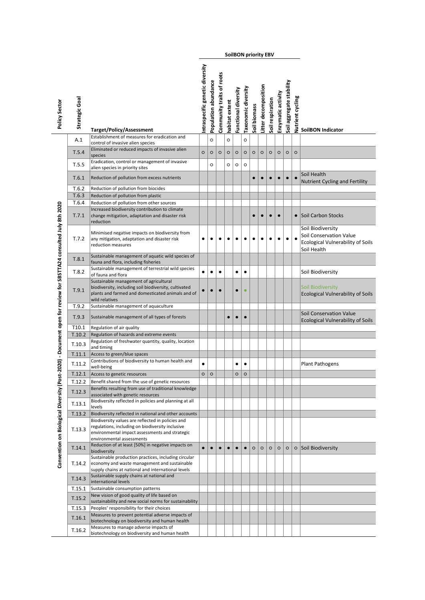|                                                                                                                |                |                                                                                                                                                                        |                                |                      |                           |                |                      |                    | <b>SoilBON priority EBV</b> |                      |                  |                    |                          |                  |                                                                                                         |
|----------------------------------------------------------------------------------------------------------------|----------------|------------------------------------------------------------------------------------------------------------------------------------------------------------------------|--------------------------------|----------------------|---------------------------|----------------|----------------------|--------------------|-----------------------------|----------------------|------------------|--------------------|--------------------------|------------------|---------------------------------------------------------------------------------------------------------|
| Policy Sector                                                                                                  | Strategic Goal | Target/Policy/Assessment                                                                                                                                               | ntraspecific genetic diversity | Population abundance | Community traits of roots | nabitat extent | Functional diversity | axonomic diversity | Soil biomass                | Litter decomposition | Soil respiration | Enzymatic activity | Soil aggregate stability | Nutrient cycling | <b>SoilBON Indicator</b>                                                                                |
|                                                                                                                | A.1            | Establishment of measures for eradication and<br>control of invasive alien species                                                                                     |                                | $\circ$              |                           | $\circ$        |                      | $\circ$            |                             |                      |                  |                    |                          |                  |                                                                                                         |
|                                                                                                                | T.5.4          | Eliminated or reduced impacts of invasive alien<br>species                                                                                                             | $\circ$                        | $\circ$              | $\circ$                   | $\circ$        | $\circ$              | $\circ$            | $\circ$                     | $\circ$              | $\circ$          | $\circ$            | $\circ$                  | $\circ$          |                                                                                                         |
|                                                                                                                | T.5.5          | Eradication, control or management of invasive<br>alien species in priority sites                                                                                      |                                | $\circ$              |                           | O              | $\circ$              | $\circ$            |                             |                      |                  |                    |                          |                  |                                                                                                         |
|                                                                                                                | T.6.1          | Reduction of pollution from excess nutrients                                                                                                                           |                                |                      |                           |                |                      |                    | $\bullet$                   |                      | $\bullet$        | $\bullet$          | $\bullet$                | $\bullet$        | Soil Health<br><b>Nutrient Cycling and Fertility</b>                                                    |
|                                                                                                                | T.6.2          | Reduction of pollution from biocides                                                                                                                                   |                                |                      |                           |                |                      |                    |                             |                      |                  |                    |                          |                  |                                                                                                         |
|                                                                                                                | T.6.3          | Reduction of pollution from plastic                                                                                                                                    |                                |                      |                           |                |                      |                    |                             |                      |                  |                    |                          |                  |                                                                                                         |
|                                                                                                                | T.6.4          | Reduction of pollution from other sources                                                                                                                              |                                |                      |                           |                |                      |                    |                             |                      |                  |                    |                          |                  |                                                                                                         |
|                                                                                                                | T.7.1          | Increased biodiversity contribution to climate<br>change mitigation, adaptation and disaster risk<br>reduction                                                         |                                |                      |                           |                |                      |                    | $\bullet$                   | $\bullet$            | $\bullet$        | $\bullet$          |                          |                  | Soil Carbon Stocks                                                                                      |
| Convention on Biological Diversity (Post-2020) - Document open for review for SBSTTA24 consulted July 8th 2020 | T.7.2          | Minimised negative impacts on biodiversity from<br>any mitigation, adaptation and disaster risk<br>reduction measures                                                  | ٠                              |                      |                           | ٠              | ٠                    |                    |                             |                      |                  |                    | ٠                        |                  | Soil Biodiversity<br>Soil Conservation Value<br><b>Ecological Vulnerability of Soils</b><br>Soil Health |
|                                                                                                                | T.8.1          | Sustainable management of aquatic wild species of<br>fauna and flora, including fisheries                                                                              |                                |                      |                           |                |                      |                    |                             |                      |                  |                    |                          |                  |                                                                                                         |
|                                                                                                                | T.8.2          | Sustainable management of terrestrial wild species<br>of fauna and flora                                                                                               | $\bullet$                      | $\bullet$            | ٠                         |                | ٠                    | $\bullet$          |                             |                      |                  |                    |                          |                  | Soil Biodiversity                                                                                       |
|                                                                                                                | T.9.1          | Sustainable management of agricultural<br>biodiversity, including soil biodiversity, cultivated<br>plants and farmed and domesticated animals and of<br>wild relatives |                                |                      |                           |                |                      | $\bullet$          |                             |                      |                  |                    |                          |                  | Soil Biodiversity<br><b>Ecological Vulnerability of Soils</b>                                           |
|                                                                                                                | T.9.2          | Sustainable management of aquaculture                                                                                                                                  |                                |                      |                           |                |                      |                    |                             |                      |                  |                    |                          |                  |                                                                                                         |
|                                                                                                                | T.9.3          | Sustainable management of all types of forests                                                                                                                         |                                |                      |                           |                |                      | $\bullet$          |                             |                      |                  |                    |                          |                  | <b>Soil Conservation Value</b><br><b>Ecological Vulnerability of Soils</b>                              |
|                                                                                                                | T10.1          | Regulation of air quality                                                                                                                                              |                                |                      |                           |                |                      |                    |                             |                      |                  |                    |                          |                  |                                                                                                         |
|                                                                                                                | T.10.2         | Regulation of hazards and extreme events                                                                                                                               |                                |                      |                           |                |                      |                    |                             |                      |                  |                    |                          |                  |                                                                                                         |
|                                                                                                                | T.10.3         | Regulation of freshwater quantity, quality, location                                                                                                                   |                                |                      |                           |                |                      |                    |                             |                      |                  |                    |                          |                  |                                                                                                         |
|                                                                                                                |                | and timing                                                                                                                                                             |                                |                      |                           |                |                      |                    |                             |                      |                  |                    |                          |                  |                                                                                                         |
|                                                                                                                | T.11.1         | Access to green/blue spaces<br>Contributions of biodiversity to human health and                                                                                       |                                |                      |                           |                |                      |                    |                             |                      |                  |                    |                          |                  |                                                                                                         |
|                                                                                                                | T.11.2         | well-being                                                                                                                                                             | $\bullet$                      |                      |                           |                | ٠                    | ٠                  |                             |                      |                  |                    |                          |                  | <b>Plant Pathogens</b>                                                                                  |
|                                                                                                                |                | T.12.1 Access to genetic resources                                                                                                                                     | $\circ$                        | $\circ$              |                           |                | $\circ$              | $\circ$            |                             |                      |                  |                    |                          |                  |                                                                                                         |
|                                                                                                                | T.12.2         | Benefit shared from the use of genetic resources                                                                                                                       |                                |                      |                           |                |                      |                    |                             |                      |                  |                    |                          |                  |                                                                                                         |
|                                                                                                                | T.12.3         | Benefits resulting from use of traditional knowledge<br>associated with genetic resources                                                                              |                                |                      |                           |                |                      |                    |                             |                      |                  |                    |                          |                  |                                                                                                         |
|                                                                                                                | T.13.1         | Biodiversity reflected in policies and planning at all                                                                                                                 |                                |                      |                           |                |                      |                    |                             |                      |                  |                    |                          |                  |                                                                                                         |
|                                                                                                                |                | levels                                                                                                                                                                 |                                |                      |                           |                |                      |                    |                             |                      |                  |                    |                          |                  |                                                                                                         |
|                                                                                                                | T.13.2         | Biodiversity reflected in national and other accounts<br>Biodiversity values are reflected in policies and                                                             |                                |                      |                           |                |                      |                    |                             |                      |                  |                    |                          |                  |                                                                                                         |
|                                                                                                                | T.13.3         | regulations, including on biodiversity inclusive<br>environmental impact assessments and strategic<br>environmental assessments                                        |                                |                      |                           |                |                      |                    |                             |                      |                  |                    |                          |                  |                                                                                                         |
|                                                                                                                | T.14.1         | Reduction of at least [50%] in negative impacts on<br>biodiversity                                                                                                     | $\bullet$                      | $\bullet$            |                           | $\bullet$      | $\bullet$            | $\bullet$          | $\circ$                     | $\circ$              | $\circ$          | $\circ$            | $\circ$                  |                  | O Soil Biodiversity                                                                                     |
|                                                                                                                | T.14.2         | Sustainable production practices, including circular<br>economy and waste management and sustainable<br>supply chains at national and international levels             |                                |                      |                           |                |                      |                    |                             |                      |                  |                    |                          |                  |                                                                                                         |
|                                                                                                                | T.14.3         | Sustainable supply chains at national and<br>international levels                                                                                                      |                                |                      |                           |                |                      |                    |                             |                      |                  |                    |                          |                  |                                                                                                         |
|                                                                                                                | T.15.1         | Sustainable consumption patterns                                                                                                                                       |                                |                      |                           |                |                      |                    |                             |                      |                  |                    |                          |                  |                                                                                                         |
|                                                                                                                | T.15.2         | New vision of good quality of life based on<br>sustainability and new social norms for sustainability                                                                  |                                |                      |                           |                |                      |                    |                             |                      |                  |                    |                          |                  |                                                                                                         |
|                                                                                                                | T.15.3         | Peoples' responsibility for their choices                                                                                                                              |                                |                      |                           |                |                      |                    |                             |                      |                  |                    |                          |                  |                                                                                                         |
|                                                                                                                | T.16.1         | Measures to prevent potential adverse impacts of<br>biotechnology on biodiversity and human health                                                                     |                                |                      |                           |                |                      |                    |                             |                      |                  |                    |                          |                  |                                                                                                         |
|                                                                                                                | T.16.2         | Measures to manage adverse impacts of<br>biotechnology on biodiversity and human health                                                                                |                                |                      |                           |                |                      |                    |                             |                      |                  |                    |                          |                  |                                                                                                         |

 $\overline{a}$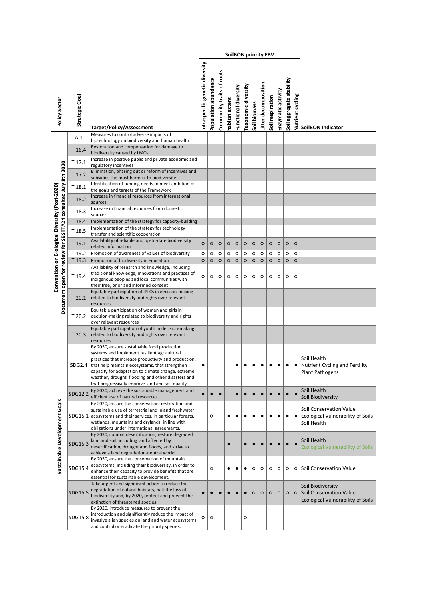|                                                                                                                 |                  |                                                                                                                                                                                                                                                                                                                                                                        |                                |                      |                           |                    |                      |                            |              | <b>SoilBON priority EBV</b> |                    |                    |                          |                    |                                                                                          |
|-----------------------------------------------------------------------------------------------------------------|------------------|------------------------------------------------------------------------------------------------------------------------------------------------------------------------------------------------------------------------------------------------------------------------------------------------------------------------------------------------------------------------|--------------------------------|----------------------|---------------------------|--------------------|----------------------|----------------------------|--------------|-----------------------------|--------------------|--------------------|--------------------------|--------------------|------------------------------------------------------------------------------------------|
| Policy Sector                                                                                                   | Strategic Goal   | <b>Target/Policy/Assessment</b>                                                                                                                                                                                                                                                                                                                                        | ntraspecific genetic diversity | Population abundance | Community traits of roots | nabitat extent     | Functional diversity | <b>Taxonomic diversity</b> | Soil biomass | Litter decomposition        | Soil respiration   | Enzymatic activity | Soil aggregate stability | Nutrient cycling   | <b>SoilBON Indicator</b>                                                                 |
|                                                                                                                 | A.1              | Measures to control adverse impacts of<br>biotechnology on biodiversity and human health                                                                                                                                                                                                                                                                               |                                |                      |                           |                    |                      |                            |              |                             |                    |                    |                          |                    |                                                                                          |
|                                                                                                                 | T.16.4           | Restoration and compensation for damage to                                                                                                                                                                                                                                                                                                                             |                                |                      |                           |                    |                      |                            |              |                             |                    |                    |                          |                    |                                                                                          |
|                                                                                                                 |                  | biodiversity caused by LMOs<br>Increase in positive public and private economic and                                                                                                                                                                                                                                                                                    |                                |                      |                           |                    |                      |                            |              |                             |                    |                    |                          |                    |                                                                                          |
|                                                                                                                 | T.17.1           | regulatory incentives<br>Elimination, phasing out or reform of incentives and                                                                                                                                                                                                                                                                                          |                                |                      |                           |                    |                      |                            |              |                             |                    |                    |                          |                    |                                                                                          |
|                                                                                                                 | T.17.2           | subsidies the most harmful to biodiversity                                                                                                                                                                                                                                                                                                                             |                                |                      |                           |                    |                      |                            |              |                             |                    |                    |                          |                    |                                                                                          |
|                                                                                                                 | T.18.1           | Identification of funding needs to meet ambition of<br>the goals and targets of the Framework                                                                                                                                                                                                                                                                          |                                |                      |                           |                    |                      |                            |              |                             |                    |                    |                          |                    |                                                                                          |
|                                                                                                                 | T.18.2           | Increase in financial resources from international<br>sources                                                                                                                                                                                                                                                                                                          |                                |                      |                           |                    |                      |                            |              |                             |                    |                    |                          |                    |                                                                                          |
|                                                                                                                 | T.18.3           | Increase in financial resources from domestic                                                                                                                                                                                                                                                                                                                          |                                |                      |                           |                    |                      |                            |              |                             |                    |                    |                          |                    |                                                                                          |
|                                                                                                                 | T.18.4           | sources<br>Implementation of the strategy for capacity-building                                                                                                                                                                                                                                                                                                        |                                |                      |                           |                    |                      |                            |              |                             |                    |                    |                          |                    |                                                                                          |
|                                                                                                                 | T.18.5           | Implementation of the strategy for technology                                                                                                                                                                                                                                                                                                                          |                                |                      |                           |                    |                      |                            |              |                             |                    |                    |                          |                    |                                                                                          |
|                                                                                                                 |                  | transfer and scientific cooperation<br>Availability of reliable and up-to-date biodiversity                                                                                                                                                                                                                                                                            |                                |                      |                           |                    |                      |                            |              |                             |                    |                    |                          |                    |                                                                                          |
|                                                                                                                 | T.19.1<br>T.19.2 | related information<br>Promotion of awareness of values of biodiversity                                                                                                                                                                                                                                                                                                | $\circ$<br>$\circ$             | $\circ$<br>$\circ$   | $\circ$<br>O              | $\circ$<br>$\circ$ | $\circ$<br>$\circ$   | $\circ$<br>$\circ$         | $\circ$<br>O | $\circ$<br>$\circ$          | $\circ$<br>$\circ$ | $\circ$<br>$\circ$ | $\circ$<br>$\circ$       | $\circ$<br>$\circ$ |                                                                                          |
|                                                                                                                 | T.19.3           | Promotion of biodiversity in education                                                                                                                                                                                                                                                                                                                                 | $\circ$                        | $\circ$              | $\circ$                   | $\circ$            | $\circ$              | $\circ$                    | $\circ$      | $\circ$                     | O                  | $\circ$            | $\circ$                  | $\circ$            |                                                                                          |
| Document open for review for SBSTTA24 consulted July 8th 2020<br>Convention on Biological Diversity (Post-2020) | T.19.4           | Availability of research and knowledge, including<br>traditional knowledge, innovations and practices of<br>indigenous peoples and local communities with<br>their free, prior and informed consent                                                                                                                                                                    | $\circ$                        | $\circ$              | O                         | $\circ$            | $\circ$              | $\circ$                    | $\circ$      | $\circ$                     | $\circ$            | $\circ$            | $\circ$                  | $\circ$            |                                                                                          |
|                                                                                                                 | T.20.1           | Equitable participation of IPLCs in decision-making<br>related to biodiversity and rights over relevant<br>resources                                                                                                                                                                                                                                                   |                                |                      |                           |                    |                      |                            |              |                             |                    |                    |                          |                    |                                                                                          |
|                                                                                                                 | T.20.2           | Equitable participation of women and girls in<br>decision-making related to biodiversity and rights<br>over relevant resources                                                                                                                                                                                                                                         |                                |                      |                           |                    |                      |                            |              |                             |                    |                    |                          |                    |                                                                                          |
|                                                                                                                 | T.20.3           | Equitable participation of youth in decision-making<br>related to biodiversity and rights over relevant<br>resources                                                                                                                                                                                                                                                   |                                |                      |                           |                    |                      |                            |              |                             |                    |                    |                          |                    |                                                                                          |
|                                                                                                                 | SDG2.4           | By 2030, ensure sustainable food production<br>systems and implement resilient agricultural<br>practices that increase productivity and production,<br>that help maintain ecosystems, that strengthen<br>capacity for adaptation to climate change, extreme<br>weather, drought, flooding and other disasters and<br>that progressively improve land and soil quality. | ٠                              |                      |                           |                    | ٠                    | ٠                          | ٠            | ٠                           | ٠                  | $\bullet$          | $\bullet$                | ٠                  | Soil Health<br><b>Nutrient Cycling and Fertility</b><br><b>Plant Pathogens</b>           |
|                                                                                                                 | SDG12.2          | By 2030, achieve the sustainable management and                                                                                                                                                                                                                                                                                                                        |                                | $\bullet$            | $\bullet$                 |                    | $\bullet$            | $\bullet$                  | $\bullet$    | $\bullet$                   | $\bullet$          | $\bullet$          | $\bullet$                |                    | Soil Health                                                                              |
|                                                                                                                 |                  | efficient use of natural resources.<br>By 2020, ensure the conservation, restoration and                                                                                                                                                                                                                                                                               |                                |                      |                           |                    |                      |                            |              |                             |                    |                    |                          |                    | Soil Biodiversity                                                                        |
|                                                                                                                 |                  | sustainable use of terrestrial and inland freshwater<br>SDG15.1 ecosystems and their services, in particular forests,<br>wetlands, mountains and drylands, in line with<br>obligations under international agreements.                                                                                                                                                 |                                | $\circ$              |                           | $\bullet$          | ٠                    | ٠                          | ٠            |                             |                    |                    | $\bullet$                |                    | Soil Conservation Value<br>Ecological Vulnerability of Soils<br>Soil Health              |
| Sustainable Development Goals                                                                                   | SDG15.3          | By 2030, combat desertification, restore degraded<br>land and soil, including land affected by<br>desertification, drought and floods, and strive to<br>achieve a land degradation-neutral world.<br>By 2030, ensure the conservation of mountain                                                                                                                      |                                |                      |                           | $\bullet$          |                      | $\bullet$                  |              |                             |                    |                    |                          |                    | Soil Health<br><b>Ecological Vulnerability of Soils</b>                                  |
|                                                                                                                 | SDG15.4          | ecosystems, including their biodiversity, in order to<br>enhance their capacity to provide benefits that are<br>essential for sustainable development.                                                                                                                                                                                                                 |                                | $\circ$              |                           | ٠                  |                      | ٠                          | $\circ$      | $\circ$                     | $\circ$            | $\circ$            | $\circ$                  | $\circ$            | Soil Conservation Value                                                                  |
|                                                                                                                 | SDG15.5          | Take urgent and significant action to reduce the<br>degradation of natural habitats, halt the loss of<br>biodiversity and, by 2020, protect and prevent the<br>extinction of threatened species.                                                                                                                                                                       |                                | $\bullet$            |                           |                    |                      |                            | $\circ$      | $\circ$                     | $\circ$            | $\circ$            | $\circ$                  | $\circ$            | Soil Biodiversity<br>Soil Conservation Value<br><b>Ecological Vulnerability of Soils</b> |
|                                                                                                                 | SDG15.8          | By 2020, introduce measures to prevent the<br>introduction and significantly reduce the impact of<br>invasive alien species on land and water ecosystems<br>and control or eradicate the priority species.                                                                                                                                                             | O                              | $\circ$              |                           |                    |                      | $\circ$                    |              |                             |                    |                    |                          |                    |                                                                                          |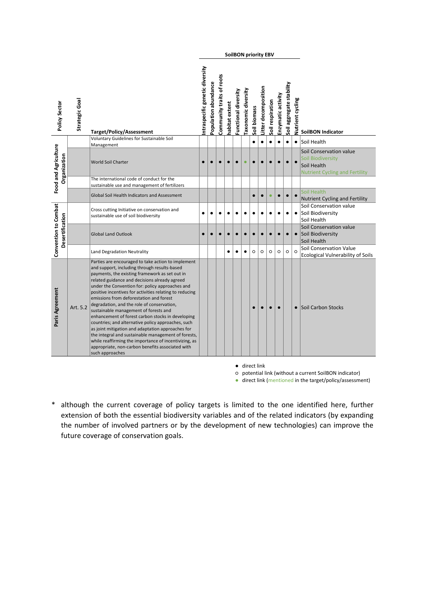| Policy Sector                           | Strategic Goal | <b>Target/Policy/Assessment</b>                                                                                                                                                                                                                                                                                                                                                                                                                                                                                                                                                                                                                                                                                                                                                                              | ntraspecific genetic diversity | Population abundance | Community traits of roots | habitat extent | Functional diversity | Taxonomic diversity | Soil biomass | Litter decomposition | Soil respiration | Enzymatic activity | Soil aggregate stability | Nutrient cycling | <b>SoilBON Indicator</b>                                                                                    |
|-----------------------------------------|----------------|--------------------------------------------------------------------------------------------------------------------------------------------------------------------------------------------------------------------------------------------------------------------------------------------------------------------------------------------------------------------------------------------------------------------------------------------------------------------------------------------------------------------------------------------------------------------------------------------------------------------------------------------------------------------------------------------------------------------------------------------------------------------------------------------------------------|--------------------------------|----------------------|---------------------------|----------------|----------------------|---------------------|--------------|----------------------|------------------|--------------------|--------------------------|------------------|-------------------------------------------------------------------------------------------------------------|
|                                         |                | Voluntary Guidelines for Sustainable Soil<br>Management                                                                                                                                                                                                                                                                                                                                                                                                                                                                                                                                                                                                                                                                                                                                                      |                                |                      |                           |                |                      |                     | $\bullet$    | $\bullet$            | $\bullet$        | $\bullet$          | $\bullet$                | $\bullet$        | Soil Health                                                                                                 |
| Food and Agriculture<br>Organization    |                | <b>World Soil Charter</b>                                                                                                                                                                                                                                                                                                                                                                                                                                                                                                                                                                                                                                                                                                                                                                                    | $\bullet$                      | $\bullet$            |                           | $\bullet$      |                      | $\bullet$           |              | $\bullet$            |                  | $\bullet$          | $\bullet$                | $\bullet$        | Soil Conservation value<br><b>Soil Biodiversity</b><br>Soil Health<br><b>Nutrient Cycling and Fertility</b> |
|                                         |                | The international code of conduct for the                                                                                                                                                                                                                                                                                                                                                                                                                                                                                                                                                                                                                                                                                                                                                                    |                                |                      |                           |                |                      |                     |              |                      |                  |                    |                          |                  |                                                                                                             |
|                                         |                | sustainable use and management of fertilizers<br>Global Soil Health Indicators and Assessment                                                                                                                                                                                                                                                                                                                                                                                                                                                                                                                                                                                                                                                                                                                |                                |                      |                           |                |                      |                     |              | $\bullet$            |                  | $\bullet$          | $\bullet$                | $\bullet$        | Soil Health<br><b>Nutrient Cycling and Fertility</b>                                                        |
|                                         |                | Cross cutting Initiative on conservation and<br>sustainable use of soil biodiversity                                                                                                                                                                                                                                                                                                                                                                                                                                                                                                                                                                                                                                                                                                                         | $\bullet$                      | $\bullet$            | ٠                         | ٠              |                      |                     |              |                      |                  | ٠                  | $\bullet$                | $\bullet$        | Soil Conservation value<br>Soil Biodiversity<br>Soil Health                                                 |
| Convention to Combat<br>Desertification |                | <b>Global Land Outlook</b>                                                                                                                                                                                                                                                                                                                                                                                                                                                                                                                                                                                                                                                                                                                                                                                   |                                |                      |                           |                |                      |                     |              |                      |                  |                    | $\bullet$                | $\bullet$        | Soil Conservation value<br>Soil Biodiversity<br>Soil Health                                                 |
|                                         |                | Land Degradation Neutrality                                                                                                                                                                                                                                                                                                                                                                                                                                                                                                                                                                                                                                                                                                                                                                                  |                                |                      |                           | ٠              | ٠                    | $\bullet$           | $\circ$      | $\circ$              | $\circ$          | $\circ$            | $\circ$                  | $\circ$          | Soil Conservation Value<br><b>Ecological Vulnerability of Soils</b>                                         |
| Paris Agreement                         | Art. 5.2       | Parties are encouraged to take action to implement<br>and support, including through results-based<br>payments, the existing framework as set out in<br>related guidance and decisions already agreed<br>under the Convention for: policy approaches and<br>positive incentives for activities relating to reducing<br>emissions from deforestation and forest<br>degradation, and the role of conservation,<br>sustainable management of forests and<br>enhancement of forest carbon stocks in developing<br>countries; and alternative policy approaches, such<br>as joint mitigation and adaptation approaches for<br>the integral and sustainable management of forests,<br>while reaffirming the importance of incentivizing, as<br>appropriate, non-carbon benefits associated with<br>such approaches |                                |                      |                           |                |                      |                     |              |                      |                  | $\bullet$          |                          | $\bullet$        | <b>Soil Carbon Stocks</b>                                                                                   |

● direct link

**SoilBON priority EBV**

○ potential link (without a current SoilBON indicator)

● direct link (mentioned in the target/policy/assessment)

\* although the current coverage of policy targets is limited to the one identified here, further extension of both the essential biodiversity variables and of the related indicators (by expanding the number of involved partners or by the development of new technologies) can improve the future coverage of conservation goals.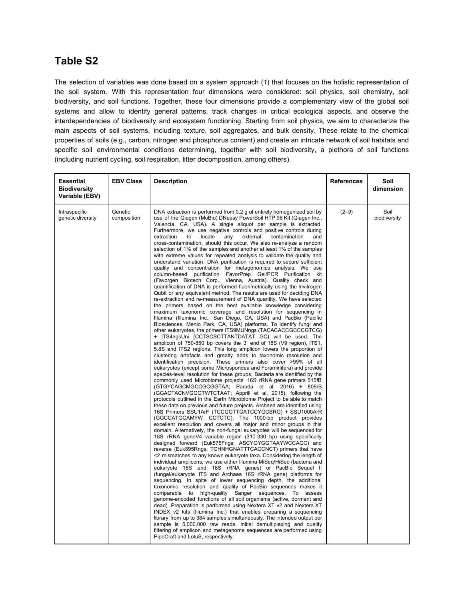### **Table S2**

The selection of variables was done based on a system approach [\(](https://paperpile.com/c/Xm6ekv/mWN4)*[1](https://paperpile.com/c/Xm6ekv/mWN4)*[\)](https://paperpile.com/c/Xm6ekv/mWN4) that focuses on the holistic representation of the soil system. With this representation four dimensions were considered: soil physics, soil chemistry, soil biodiversity, and soil functions. Together, these four dimensions provide a complementary view of the global soil systems and allow to identify general patterns, track changes in critical ecological aspects, and observe the interdependencies of biodiversity and ecosystem functioning. Starting from soil physics, we aim to characterize the main aspects of soil systems, including texture, soil aggregates, and bulk density. These relate to the chemical properties of soils (e.g., carbon, nitrogen and phosphorus content) and create an intricate network of soil habitats and specific soil environmental conditions determining, together with soil biodiversity, a plethora of soil functions (including nutrient cycling, soil respiration, litter decomposition, among others).

| <b>Essential</b><br><b>Biodiversity</b><br>Variable (EBV) | <b>EBV Class</b>       | <b>Description</b>                                                                                                                                                                                                                                                                                                                                                                                                                                                                                                                                                                                                                                                                                                                                                                                                                                                                                                                                                                                                                                                                                                                                                                                                                                                                                                                                                                                                                                                                                                                                                                                                                                                                                                                                                                                                                                                                                                                                                                                                                                                                                                                                                                                                                                                                                                                                                                                                                                                                                                                                                                                                                                                                                                                                                                                                                                                                                                                                                                                                                                                                                                                                                                                                                                                                                                                                                                                                                                                                                                                                                                                                                                                                                  | <b>References</b> | Soil<br>dimension    |
|-----------------------------------------------------------|------------------------|-----------------------------------------------------------------------------------------------------------------------------------------------------------------------------------------------------------------------------------------------------------------------------------------------------------------------------------------------------------------------------------------------------------------------------------------------------------------------------------------------------------------------------------------------------------------------------------------------------------------------------------------------------------------------------------------------------------------------------------------------------------------------------------------------------------------------------------------------------------------------------------------------------------------------------------------------------------------------------------------------------------------------------------------------------------------------------------------------------------------------------------------------------------------------------------------------------------------------------------------------------------------------------------------------------------------------------------------------------------------------------------------------------------------------------------------------------------------------------------------------------------------------------------------------------------------------------------------------------------------------------------------------------------------------------------------------------------------------------------------------------------------------------------------------------------------------------------------------------------------------------------------------------------------------------------------------------------------------------------------------------------------------------------------------------------------------------------------------------------------------------------------------------------------------------------------------------------------------------------------------------------------------------------------------------------------------------------------------------------------------------------------------------------------------------------------------------------------------------------------------------------------------------------------------------------------------------------------------------------------------------------------------------------------------------------------------------------------------------------------------------------------------------------------------------------------------------------------------------------------------------------------------------------------------------------------------------------------------------------------------------------------------------------------------------------------------------------------------------------------------------------------------------------------------------------------------------------------------------------------------------------------------------------------------------------------------------------------------------------------------------------------------------------------------------------------------------------------------------------------------------------------------------------------------------------------------------------------------------------------------------------------------------------------------------------------------------|-------------------|----------------------|
| Intraspecific<br>genetic diversity                        | Genetic<br>composition | DNA extraction is performed from 0.2 g of entirely homogenized soil by<br>use of the Qiagen (MoBio) DNeasy PowerSoil HTP 96 Kit (Qiagen Inc.,<br>Valencia, CA, USA). A single aliquot per sample is extracted.<br>Furthermore, we use negative controls and positive controls during<br>extraction<br>locate<br>to<br>any<br>external<br>contamination<br>and<br>cross-contamination, should this occur. We also re-analyze a random<br>selection of 1% of the samples and another at least 1% of the samples<br>with extreme values for repeated analysis to validate the quality and<br>understand variation. DNA purification is required to secure sufficient<br>quality and concentration for metagenomics analysis. We use<br>column-based purification FavorPrep Gel/PCR Purification kit<br>(Favorgen Biotech Corp., Vienna, Austria). Quality check and<br>quantification of DNA is performed fluorimetrically using the Invitrogen<br>Qubit or any equivalent method. The results are used for deciding DNA<br>re-extraction and re-measurement of DNA quantity. We have selected<br>the primers based on the best available knowledge considering<br>maximum taxonomic coverage and resolution for sequencing in<br>Illumina (Illumina Inc., San Diego, CA, USA) and PacBio (Pacific<br>Biosciences, Menlo Park, CA, USA) platforms. To identify fungi and<br>other eukaryotes, the primers ITS9MUNngs (TACACACCGCCCGTCG)<br>+ ITS4ngsUni (CCTSCSCTTANTDATAT GC) will be used. The<br>amplicon of 750-850 bp covers the 3' end of 18S (V9 region), ITS1,<br>5.8S and ITS2 regions. This long amplicon lowers the proportion of<br>clustering artefacts and greatly adds to taxonomic resolution and<br>identification precision. These primers also cover >99% of all<br>eukaryotes (except some Microsporidea and Foraminifera) and provide<br>species-level resolution for these groups. Bacteria are identified by the<br>commonly used Microbiome projects' 16S rRNA gene primers 515fB<br>(GTGYCAGCMGCCGCGGTAA; Parada et al. 2016) + 806rB<br>(GGACTACNVGGGTWTCTAAT; Apprill et al. 2015), following the<br>protocols outlined in the Earth Microbiome Project to be able to match<br>these data on previous and future projects. Archaea are identified using<br>16S Primers SSU1ArF (TCCGGTTGATCCYGCBRG) + SSU1000ArR<br>(GGCCATGCAMYW CCTCTC). The 1000-bp product provides<br>excellent resolution and covers all major and minor groups in this<br>domain. Alternatively, the non-fungal eukaryotes will be sequenced for<br>18S rRNA geneV4 variable region (310-330 bp) using specifically<br>designed forward (Euk575Fngs; ASCYGYGGTAAYWCCAGC) and<br>reverse (Euk895Rngs; TCHNHGNATTTCACCNCT) primers that have<br><2 mismatches to any known eukaryote taxa. Considering the length of<br>individual amplicons, we use either Illumina MiSeg/HiSeg (bacteria and<br>eukaryote 16S and 18S rRNA genes) or PacBio Sequel II<br>(fungal/eukaryote ITS and Archaea 16S rRNA gene) platforms for<br>sequencing. In spite of lower sequencing depth, the additional<br>taxonomic resolution and quality of PacBio sequences makes it<br>comparable to<br>high-quality Sanger sequences. To assess<br>genome-encoded functions of all soil organisms (active, dormant and<br>dead). Preparation is performed using Nextera XT v2 and Nextera XT<br>INDEX v2 kits (Illumina Inc.) that enables preparing a sequencing<br>library from up to 384 samples simultaneously. The intended output per<br>sample is 5,000,000 raw reads. Initial demultiplexing and quality<br>filtering of amplicon and metagenome sequences are performed using<br>PipeCraft and LotuS, respectively. | $(2-9)$           | Soil<br>biodiversity |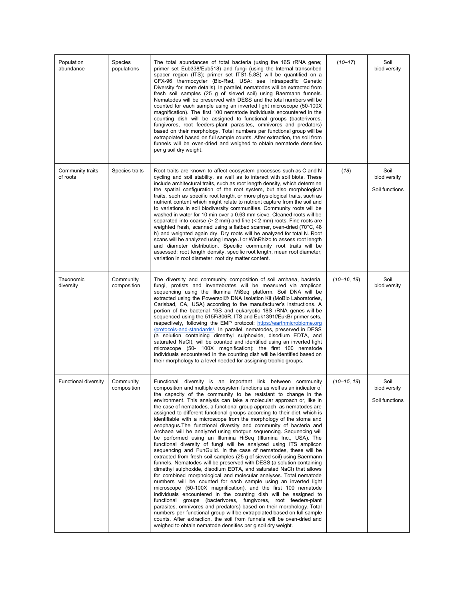| Population<br>abundance      | Species<br>populations   | The total abundances of total bacteria (using the 16S rRNA gene;<br>primer set Eub338/Eub518) and fungi (using the Internal transcribed<br>spacer region (ITS); primer set ITS1-5.8S) will be quantified on a<br>CFX-96 thermocycler (Bio-Rad, USA; see Intraspecific Genetic<br>Diversity for more details). In parallel, nematodes will be extracted from<br>fresh soil samples (25 g of sieved soil) using Baermann funnels.<br>Nematodes will be preserved with DESS and the total numbers will be<br>counted for each sample using an inverted light microscope (50-100X)<br>magnification). The first 100 nematode individuals encountered in the<br>counting dish will be assigned to functional groups (bacterivores,<br>fungivores, root feeders-plant parasites, omnivores and predators)<br>based on their morphology. Total numbers per functional group will be<br>extrapolated based on full sample counts. After extraction, the soil from<br>funnels will be oven-dried and weighed to obtain nematode densities<br>per g soil dry weight.                                                                                                                                                                                                                                                                                                                                                                                                                                                                                                                                                                                                                                                                               | $(10 - 17)$     | Soil<br>biodiversity                   |
|------------------------------|--------------------------|------------------------------------------------------------------------------------------------------------------------------------------------------------------------------------------------------------------------------------------------------------------------------------------------------------------------------------------------------------------------------------------------------------------------------------------------------------------------------------------------------------------------------------------------------------------------------------------------------------------------------------------------------------------------------------------------------------------------------------------------------------------------------------------------------------------------------------------------------------------------------------------------------------------------------------------------------------------------------------------------------------------------------------------------------------------------------------------------------------------------------------------------------------------------------------------------------------------------------------------------------------------------------------------------------------------------------------------------------------------------------------------------------------------------------------------------------------------------------------------------------------------------------------------------------------------------------------------------------------------------------------------------------------------------------------------------------------------------------------------|-----------------|----------------------------------------|
| Community traits<br>of roots | Species traits           | Root traits are known to affect ecosystem processes such as C and N<br>cycling and soil stability, as well as to interact with soil biota. These<br>include architectural traits, such as root length density, which determine<br>the spatial configuration of the root system, but also morphological<br>traits, such as specific root length, or more physiological traits, such as<br>nutrient content which might relate to nutrient capture from the soil and<br>to variations in soil biodiversity communities. Community roots will be<br>washed in water for 10 min over a 0.63 mm sieve. Cleaned roots will be<br>separated into coarse $(> 2 \text{ mm})$ and fine $( < 2 \text{ mm})$ roots. Fine roots are<br>weighted fresh, scanned using a flatbed scanner, oven-dried (70°C, 48<br>h) and weighted again dry. Dry roots will be analyzed for total N. Root<br>scans will be analyzed using Image J or WinRhizo to assess root length<br>and diameter distribution. Specific community root traits will be<br>assessed: root length density, specific root length, mean root diameter,<br>variation in root diameter, root dry matter content.                                                                                                                                                                                                                                                                                                                                                                                                                                                                                                                                                                            | (18)            | Soil<br>biodiversity<br>Soil functions |
| Taxonomic<br>diversity       | Community<br>composition | The diversity and community composition of soil archaea, bacteria,<br>fungi, protists and invertebrates will be measured via amplicon<br>sequencing using the Illumina MiSeq platform. Soil DNA will be<br>extracted using the Powersoil® DNA Isolation Kit (MoBio Laboratories,<br>Carlsbad, CA, USA) according to the manufacturer's instructions. A<br>portion of the bacterial 16S and eukaryotic 18S rRNA genes will be<br>sequenced using the 515F/806R, ITS and Euk1391f/EukBr primer sets,<br>respectively, following the EMP protocol: https://earthmicrobiome.org<br>/protocols-and-standards/. In parallel, nematodes, preserved in DESS<br>(a solution containing dimethyl sulphoxide, disodium EDTA, and<br>saturated NaCl), will be counted and identified using an inverted light<br>microscope (50- 100X magnification): the first 100 nematode<br>individuals encountered in the counting dish will be identified based on<br>their morphology to a level needed for assigning trophic groups.                                                                                                                                                                                                                                                                                                                                                                                                                                                                                                                                                                                                                                                                                                                          | $(10 - 16, 19)$ | Soil<br>biodiversity                   |
| Functional diversity         | Community<br>composition | Functional diversity is an important link between community<br>composition and multiple ecosystem functions as well as an indicator of<br>the capacity of the community to be resistant to change in the<br>environment. This analysis can take a molecular approach or, like in<br>the case of nematodes, a functional group approach, as nematodes are<br>assigned to different functional groups according to their diet, which is<br>identifiable with a microscope from the morphology of the stoma and<br>esophagus. The functional diversity and community of bacteria and<br>Archaea will be analyzed using shotgun sequencing. Sequencing will<br>be performed using an Illumina HiSeg (Illumina Inc., USA). The<br>functional diversity of fungi will be analyzed using ITS amplicon<br>sequencing and FunGuild. In the case of nematodes, these will be<br>extracted from fresh soil samples (25 g of sieved soil) using Baermann<br>funnels. Nematodes will be preserved with DESS (a solution containing<br>dimethyl sulphoxide, disodium EDTA, and saturated NaCl) that allows<br>for combined morphological and molecular analyses. Total nematode<br>numbers will be counted for each sample using an inverted light<br>microscope (50-100X magnification), and the first 100 nematode<br>individuals encountered in the counting dish will be assigned to<br>functional groups (bacterivores, fungivores, root feeders-plant<br>parasites, omnivores and predators) based on their morphology. Total<br>numbers per functional group will be extrapolated based on full sample<br>counts. After extraction, the soil from funnels will be oven-dried and<br>weighed to obtain nematode densities per g soil dry weight. | $(10 - 15, 19)$ | Soil<br>biodiversity<br>Soil functions |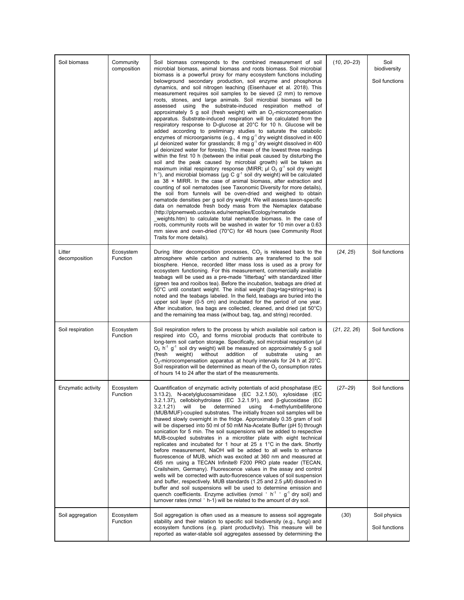| Soil biomass            | Community<br>composition | Soil biomass corresponds to the combined measurement of soil<br>microbial biomass, animal biomass and roots biomass. Soil microbial<br>biomass is a powerful proxy for many ecosystem functions including<br>belowground secondary production, soil enzyme and phosphorus<br>dynamics, and soil nitrogen leaching (Eisenhauer et al. 2018). This<br>measurement requires soil samples to be sieved (2 mm) to remove<br>roots, stones, and large animals. Soil microbial biomass will be<br>assessed using the substrate-induced respiration method of<br>approximately 5 g soil (fresh weight) with an $O2$ -microcompensation<br>apparatus. Substrate-induced respiration will be calculated from the<br>respiratory response to D-glucose at 20°C for 10 h. Glucose will be<br>added according to preliminary studies to saturate the catabolic<br>enzymes of microorganisms (e.g., 4 mg $g^{-1}$ dry weight dissolved in 400<br>$\mu$ l deionized water for grasslands; 8 mg g <sup>-1</sup> dry weight dissolved in 400<br>ul deionized water for forests). The mean of the lowest three readings<br>within the first 10 h (between the initial peak caused by disturbing the<br>soil and the peak caused by microbial growth) will be taken as<br>maximum initial respiratory response (MIRR; $\mu$ I O <sub>2</sub> g <sup>-1</sup> soil dry weight<br>$h^{-1}$ ), and microbial biomass ( $\mu$ g C g <sup>-1</sup> soil dry weight) will be calculated<br>as $38 \times$ MIRR. In the case of animal biomass, after extraction and<br>counting of soil nematodes (see Taxonomic Diversity for more details),<br>the soil from funnels will be oven-dried and weighed to obtain<br>nematode densities per g soil dry weight. We will assess taxon-specific<br>data on nematode fresh body mass from the Nemaplex database<br>(http://plpnemweb.ucdavis.edu/nemaplex/Ecology/nematode<br>weights.htm) to calculate total nematode biomass. In the case of<br>roots, community roots will be washed in water for 10 min over a 0.63<br>mm sieve and oven-dried (70°C) for 48 hours (see Community Root<br>Traits for more details). | $(10, 20 - 23)$ | Soil<br>biodiversity<br>Soil functions |
|-------------------------|--------------------------|------------------------------------------------------------------------------------------------------------------------------------------------------------------------------------------------------------------------------------------------------------------------------------------------------------------------------------------------------------------------------------------------------------------------------------------------------------------------------------------------------------------------------------------------------------------------------------------------------------------------------------------------------------------------------------------------------------------------------------------------------------------------------------------------------------------------------------------------------------------------------------------------------------------------------------------------------------------------------------------------------------------------------------------------------------------------------------------------------------------------------------------------------------------------------------------------------------------------------------------------------------------------------------------------------------------------------------------------------------------------------------------------------------------------------------------------------------------------------------------------------------------------------------------------------------------------------------------------------------------------------------------------------------------------------------------------------------------------------------------------------------------------------------------------------------------------------------------------------------------------------------------------------------------------------------------------------------------------------------------------------------------------------------------------------------------------------------------------------------------------------------------|-----------------|----------------------------------------|
| Litter<br>decomposition | Ecosystem<br>Function    | During litter decomposition processes, $CO2$ is released back to the<br>atmosphere while carbon and nutrients are transferred to the soil<br>biosphere. Hence, recorded litter mass loss is used as a proxy for<br>ecosystem functioning. For this measurement, commercially available<br>teabags will be used as a pre-made "litterbag" with standardized litter<br>(green tea and rooibos tea). Before the incubation, teabags are dried at<br>50°C until constant weight. The initial weight (bag+tag+string+tea) is<br>noted and the teabags labeled. In the field, teabags are buried into the<br>upper soil layer (0-5 cm) and incubated for the period of one year.<br>After incubation, tea bags are collected, cleaned, and dried (at $50^{\circ}$ C)<br>and the remaining tea mass (without bag, tag, and string) recorded.                                                                                                                                                                                                                                                                                                                                                                                                                                                                                                                                                                                                                                                                                                                                                                                                                                                                                                                                                                                                                                                                                                                                                                                                                                                                                                    | (24, 25)        | Soil functions                         |
| Soil respiration        | Ecosystem<br>Function    | Soil respiration refers to the process by which available soil carbon is<br>respired into $CO2$ and forms microbial products that contribute to<br>long-term soil carbon storage. Specifically, soil microbial respiration (µI<br>$O_2$ h <sup>-1</sup> g <sup>-1</sup> soil dry weight) will be measured on approximately 5 g soil<br>without addition of substrate<br>(fresh<br>weight)<br>using<br>an<br>$O2$ -microcompensation apparatus at hourly intervals for 24 h at 20 $^{\circ}$ C.<br>Soil respiration will be determined as mean of the $O2$ consumption rates<br>of hours 14 to 24 after the start of the measurements.                                                                                                                                                                                                                                                                                                                                                                                                                                                                                                                                                                                                                                                                                                                                                                                                                                                                                                                                                                                                                                                                                                                                                                                                                                                                                                                                                                                                                                                                                                    | (21, 22, 26)    | Soil functions                         |
| Enzymatic activity      | Ecosystem<br>Function    | Quantification of enzymatic activity potentials of acid phosphatase (EC<br>3.13.2), N-acetylglucosaminidase (EC 3.2.1.50), xylosidase (EC<br>3.2.1.37), cellobiohydrolase (EC 3.2.1.91), and $\beta$ -glucosidase (EC<br>determined<br>using<br>4-methylumbelliferone<br>3.2.1.21<br>will<br>be<br>(MUB/MUF)-coupled substrates. The initially frozen soil samples will be<br>thawed slowly overnight in the fridge. Approximately 0.35 gram of soil<br>will be dispersed into 50 ml of 50 mM Na-Acetate Buffer (pH 5) through<br>sonication for 5 min. The soil suspensions will be added to respective<br>MUB-coupled substrates in a microtiter plate with eight technical<br>replicates and incubated for 1 hour at $25 \pm 1^{\circ}$ C in the dark. Shortly<br>before measurement, NaOH will be added to all wells to enhance<br>fluorescence of MUB, which was excited at 360 nm and measured at<br>465 nm using a TECAN Infinite® F200 PRO plate reader (TECAN,<br>Crailsheim, Germany). Fluorescence values in the assay and control<br>wells will be corrected with auto-fluorescence values of soil suspension<br>and buffer, respectively. MUB standards $(1.25$ and $2.5 \mu M)$ dissolved in<br>buffer and soil suspensions will be used to determine emission and<br>quench coefficients. Enzyme activities (nmol $r h^{-1}$ , $g^{-1}$ dry soil) and<br>turnover rates (nmol ' h-1) will be related to the amount of dry soil.                                                                                                                                                                                                                                                                                                                                                                                                                                                                                                                                                                                                                                                                                           | $(27 - 29)$     | Soil functions                         |
| Soil aggregation        | Ecosystem<br>Function    | Soil aggregation is often used as a measure to assess soil aggregate<br>stability and their relation to specific soil biodiversity (e.g., fungi) and<br>ecosystem functions (e.g. plant productivity). This measure will be<br>reported as water-stable soil aggregates assessed by determining the                                                                                                                                                                                                                                                                                                                                                                                                                                                                                                                                                                                                                                                                                                                                                                                                                                                                                                                                                                                                                                                                                                                                                                                                                                                                                                                                                                                                                                                                                                                                                                                                                                                                                                                                                                                                                                      | (30)            | Soil physics<br>Soil functions         |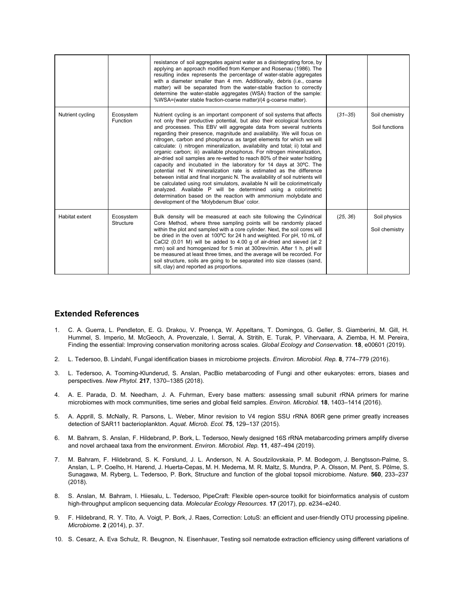|                  |                        | resistance of soil aggregates against water as a disintegrating force, by<br>applying an approach modified from Kemper and Rosenau (1986). The<br>resulting index represents the percentage of water-stable aggregates<br>with a diameter smaller than 4 mm. Additionally, debris (i.e., coarse<br>matter) will be separated from the water-stable fraction to correctly<br>determine the water-stable aggregates (WSA) fraction of the sample:<br>%WSA=(water stable fraction-coarse matter)/(4 q-coarse matter).                                                                                                                                                                                                                                                                                                                                                                                                                                                                                                                                                                                              |             |                                  |
|------------------|------------------------|-----------------------------------------------------------------------------------------------------------------------------------------------------------------------------------------------------------------------------------------------------------------------------------------------------------------------------------------------------------------------------------------------------------------------------------------------------------------------------------------------------------------------------------------------------------------------------------------------------------------------------------------------------------------------------------------------------------------------------------------------------------------------------------------------------------------------------------------------------------------------------------------------------------------------------------------------------------------------------------------------------------------------------------------------------------------------------------------------------------------|-------------|----------------------------------|
| Nutrient cycling | Ecosystem<br>Function  | Nutrient cycling is an important component of soil systems that affects<br>not only their productive potential, but also their ecological functions<br>and processes. This EBV will aggregate data from several nutrients<br>regarding their presence, magnitude and availability. We will focus on<br>nitrogen, carbon and phosphorus as target elements for which we will<br>calculate: i) nitrogen mineralization, availability and total; ii) total and<br>organic carbon; iii) available phosphorus. For nitrogen mineralization,<br>air-dried soil samples are re-wetted to reach 80% of their water holding<br>capacity and incubated in the laboratory for 14 days at 30°C. The<br>potential net N mineralization rate is estimated as the difference<br>between initial and final inorganic N. The availability of soil nutrients will<br>be calculated using root simulators, available N will be colorimetrically<br>analyzed. Available P will be determined using a colorimetric<br>determination based on the reaction with ammonium molybdate and<br>development of the 'Molybdenum Blue' color. | $(31 - 35)$ | Soil chemistry<br>Soil functions |
| Habitat extent   | Ecosystem<br>Structure | Bulk density will be measured at each site following the Cylindrical<br>Core Method, where three sampling points will be randomly placed<br>within the plot and sampled with a core cylinder. Next, the soil cores will<br>be dried in the oven at 100°C for 24 h and weighted. For pH, 10 mL of<br>CaCl2 (0.01 M) will be added to 4.00 g of air-dried and sieved (at 2<br>mm) soil and homogenized for 5 min at 300rev/min. After 1 h, pH will<br>be measured at least three times, and the average will be recorded. For<br>soil structure, soils are going to be separated into size classes (sand,<br>silt, clay) and reported as proportions.                                                                                                                                                                                                                                                                                                                                                                                                                                                             | (25, 36)    | Soil physics<br>Soil chemistry   |

#### **Extended References**

- 1. C. A. Guerra, L. Pendleton, E. G. Drakou, V. Proença, W. Appeltans, T. Domingos, G. Geller, S. [Giamberini,](http://paperpile.com/b/Xm6ekv/mWN4) M. Gill, H. Hummel, S. Imperio, M. McGeoch, A. [Provenzale,](http://paperpile.com/b/Xm6ekv/mWN4) I. Serral, A. Stritih, E. Turak, P. Vihervaara, A. Ziemba, H. M. Pereira, Finding the essential: Improving [conservation](http://paperpile.com/b/Xm6ekv/mWN4) monitoring across scales. *Global Ecology and [Conservation](http://paperpile.com/b/Xm6ekv/mWN4)*[.](http://paperpile.com/b/Xm6ekv/mWN4) **[18](http://paperpile.com/b/Xm6ekv/mWN4)**, [e00601](http://paperpile.com/b/Xm6ekv/mWN4) (2019).
- 2. L. Tedersoo, B. Lindahl, Fungal [identification](http://paperpile.com/b/Xm6ekv/lEZ4) biases in microbiome projects. *Environ. [Microbiol.](http://paperpile.com/b/Xm6ekv/lEZ4) Rep.* **[8](http://paperpile.com/b/Xm6ekv/lEZ4)**, [774–779](http://paperpile.com/b/Xm6ekv/lEZ4) (2016).
- 3. L. Tedersoo, A. [Tooming-Klunderud,](http://paperpile.com/b/Xm6ekv/6S7r) S. Anslan, PacBio metabarcoding of Fungi and other eukaryotes: errors, biases and [perspectives.](http://paperpile.com/b/Xm6ekv/6S7r) *New [Phytol.](http://paperpile.com/b/Xm6ekv/6S7r)* **[217](http://paperpile.com/b/Xm6ekv/6S7r)**, [1370–1385](http://paperpile.com/b/Xm6ekv/6S7r) (2018).
- 4. A. E. Parada, D. M. [Needham,](http://paperpile.com/b/Xm6ekv/0dPv) J. A. Fuhrman, Every base matters: assessing small subunit rRNA primers for marine microbiomes with mock [communities,](http://paperpile.com/b/Xm6ekv/0dPv) time series and global field samples. *Environ. [Microbiol.](http://paperpile.com/b/Xm6ekv/0dPv)* **[18](http://paperpile.com/b/Xm6ekv/0dPv)**, [1403–1414](http://paperpile.com/b/Xm6ekv/0dPv) (2016).
- 5. A. Apprill, S. McNally, R. Parsons, L. Weber, Minor revision to V4 region SSU rRNA 806R gene primer greatly [increases](http://paperpile.com/b/Xm6ekv/6Qfn) detection of SAR11 [bacterioplankton.](http://paperpile.com/b/Xm6ekv/6Qfn) *Aquat. [Microb.](http://paperpile.com/b/Xm6ekv/6Qfn) Ecol.* **[75](http://paperpile.com/b/Xm6ekv/6Qfn)**, [129–137](http://paperpile.com/b/Xm6ekv/6Qfn) (2015).
- 6. M. Bahram, S. Anslan, F. Hildebrand, P. Bork, L. Tedersoo, Newly designed 16S rRNA [metabarcoding](http://paperpile.com/b/Xm6ekv/hz8i) primers amplify diverse and novel archaeal taxa from the [environment.](http://paperpile.com/b/Xm6ekv/hz8i) *Environ. [Microbiol.](http://paperpile.com/b/Xm6ekv/hz8i) Rep.* **[11](http://paperpile.com/b/Xm6ekv/hz8i)**, [487–494](http://paperpile.com/b/Xm6ekv/hz8i) (2019).
- 7. M. Bahram, F. Hildebrand, S. K. Forslund, J. L. Anderson, N. A. Soudzilovskaia, P. M. Bodegom, J. [Bengtsson-Palme,](http://paperpile.com/b/Xm6ekv/AGzv) S. Anslan, L. P. Coelho, H. Harend, J. [Huerta-Cepas,](http://paperpile.com/b/Xm6ekv/AGzv) M. H. Medema, M. R. Maltz, S. Mundra, P. A. Olsson, M. Pent, S. Põlme, S. Sunagawa, M. Ryberg, L. Tedersoo, P. Bork, Structure and function of the global topsoil [microbiome.](http://paperpile.com/b/Xm6ekv/AGzv) *[Nature](http://paperpile.com/b/Xm6ekv/AGzv)*[.](http://paperpile.com/b/Xm6ekv/AGzv) **[560](http://paperpile.com/b/Xm6ekv/AGzv)**, [233–237](http://paperpile.com/b/Xm6ekv/AGzv) [\(2018\).](http://paperpile.com/b/Xm6ekv/AGzv)
- 8. S. Anslan, M. Bahram, I. Hiiesalu, L. Tedersoo, PipeCraft: Flexible open-source toolkit for [bioinformatics](http://paperpile.com/b/Xm6ekv/kVlb) analysis of custom [high-throughput](http://paperpile.com/b/Xm6ekv/kVlb) amplicon sequencing data. *Molecular Ecology [Resources](http://paperpile.com/b/Xm6ekv/kVlb)*[.](http://paperpile.com/b/Xm6ekv/kVlb) **[17](http://paperpile.com/b/Xm6ekv/kVlb)** (2017), pp. [e234–e240.](http://paperpile.com/b/Xm6ekv/kVlb)
- 9. F. Hildebrand, R. Y. Tito, A. Voigt, P. Bork, J. Raes, Correction: LotuS: an efficient and [user-friendly](http://paperpile.com/b/Xm6ekv/WgIN) OTU processing pipeline. *[Microbiome](http://paperpile.com/b/Xm6ekv/WgIN)*[.](http://paperpile.com/b/Xm6ekv/WgIN) **[2](http://paperpile.com/b/Xm6ekv/WgIN)** [\(2014\),](http://paperpile.com/b/Xm6ekv/WgIN) p. 37.
- 10. S. Cesarz, A. Eva Schulz, R. Beugnon, N. [Eisenhauer,](http://paperpile.com/b/Xm6ekv/j4Q6) Testing soil nematode extraction efficiency using different variations of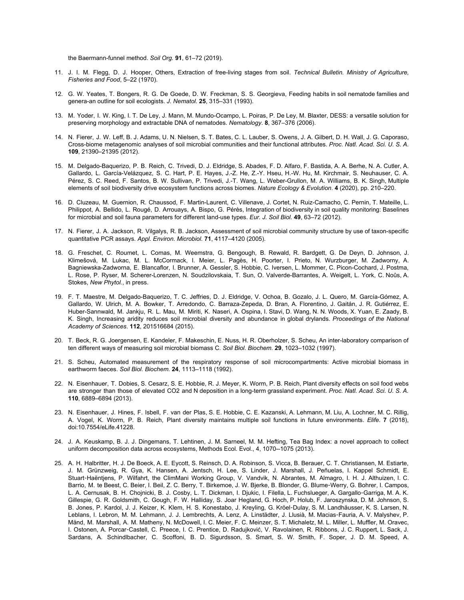the [Baermann-funnel](http://paperpile.com/b/Xm6ekv/j4Q6) method. *Soil [Org.](http://paperpile.com/b/Xm6ekv/j4Q6)* **[91](http://paperpile.com/b/Xm6ekv/j4Q6)**, 61–72 [\(2019\).](http://paperpile.com/b/Xm6ekv/j4Q6)

- 11. J. I. M. Flegg, D. J. Hooper, Others, [Extraction](http://paperpile.com/b/Xm6ekv/MDGh) of free-living stages from soil. *Technical Bulletin. Ministry of [Agriculture,](http://paperpile.com/b/Xm6ekv/MDGh) [Fisheries](http://paperpile.com/b/Xm6ekv/MDGh) and Food*, 5–22 [\(1970\).](http://paperpile.com/b/Xm6ekv/MDGh)
- 12. G. W. Yeates, T. Bongers, R. G. De Goede, D. W. Freckman, S. S. [Georgieva,](http://paperpile.com/b/Xm6ekv/BJw8) Feeding habits in soil nematode families and genera-an outline for soil [ecologists.](http://paperpile.com/b/Xm6ekv/BJw8) *J. [Nematol.](http://paperpile.com/b/Xm6ekv/BJw8)* **[25](http://paperpile.com/b/Xm6ekv/BJw8)**, [315–331](http://paperpile.com/b/Xm6ekv/BJw8) (1993).
- 13. M. Yoder, I. W. King, I. T. De Ley, J. Mann, M. [Mundo-Ocampo,](http://paperpile.com/b/Xm6ekv/1fQA) L. Poiras, P. De Ley, M. Blaxter, DESS: a versatile solution for preserving [morphology](http://paperpile.com/b/Xm6ekv/1fQA) and extractable DNA of nematodes. *[Nematology](http://paperpile.com/b/Xm6ekv/1fQA)*[.](http://paperpile.com/b/Xm6ekv/1fQA) **[8](http://paperpile.com/b/Xm6ekv/1fQA)**, [367–376](http://paperpile.com/b/Xm6ekv/1fQA) (2006).
- 14. N. Fierer, J. W. Leff, B. J. Adams, U. N. Nielsen, S. T. Bates, C. L. Lauber, S. Owens, J. A. Gilbert, D. H. Wall, J. G. [Caporaso,](http://paperpile.com/b/Xm6ekv/oIME) Cross-biome [metagenomic](http://paperpile.com/b/Xm6ekv/oIME) analyses of soil microbial communities and their functional attributes. *Proc. Natl. [Acad.](http://paperpile.com/b/Xm6ekv/oIME) Sci. U. S. A[.](http://paperpile.com/b/Xm6ekv/oIME)* **[109](http://paperpile.com/b/Xm6ekv/oIME)**, [21390–21395](http://paperpile.com/b/Xm6ekv/oIME) (2012).
- 15. M. [Delgado-Baquerizo,](http://paperpile.com/b/Xm6ekv/ARyZ) P. B. Reich, C. Trivedi, D. J. Eldridge, S. Abades, F. D. Alfaro, F. Bastida, A. A. Berhe, N. A. Cutler, A. Gallardo, L. [García-Velázquez,](http://paperpile.com/b/Xm6ekv/ARyZ) S. C. Hart, P. E. Hayes, J.-Z. He, Z.-Y. Hseu, H.-W. Hu, M. Kirchmair, S. Neuhauser, C. A. Pérez, S. C. Reed, F. Santos, B. W. Sullivan, P. Trivedi, J.-T. Wang, L. [Weber-Grullon,](http://paperpile.com/b/Xm6ekv/ARyZ) M. A. Williams, B. K. Singh, Multiple elements of soil [biodiversity](http://paperpile.com/b/Xm6ekv/ARyZ) drive ecosystem functions across biomes. *Nature Ecology & [Evolution](http://paperpile.com/b/Xm6ekv/ARyZ)*[.](http://paperpile.com/b/Xm6ekv/ARyZ) **[4](http://paperpile.com/b/Xm6ekv/ARyZ)** (2020), pp. [210–220.](http://paperpile.com/b/Xm6ekv/ARyZ)
- 16. D. Cluzeau, M. Guernion, R. Chaussod, F. Martin-Laurent, C. Villenave, J. Cortet, N. [Ruiz-Camacho,](http://paperpile.com/b/Xm6ekv/QNu2) C. Pernin, T. Mateille, L. Philippot, A. Bellido, L. Rougé, D. Arrouays, A. Bispo, G. Pérès, Integration of [biodiversity](http://paperpile.com/b/Xm6ekv/QNu2) in soil quality monitoring: Baselines for microbial and soil fauna [parameters](http://paperpile.com/b/Xm6ekv/QNu2) for different land-use types. *Eur. J. Soil [Biol.](http://paperpile.com/b/Xm6ekv/QNu2)* **[49](http://paperpile.com/b/Xm6ekv/QNu2)**, 63–72 [\(2012\).](http://paperpile.com/b/Xm6ekv/QNu2)
- 17. N. Fierer, J. A. Jackson, R. Vilgalys, R. B. Jackson, Assessment of soil microbial community structure by use of [taxon-specific](http://paperpile.com/b/Xm6ekv/zzRP) [quantitative](http://paperpile.com/b/Xm6ekv/zzRP) PCR assays. *Appl. Environ. [Microbiol.](http://paperpile.com/b/Xm6ekv/zzRP)* **[71](http://paperpile.com/b/Xm6ekv/zzRP)**, [4117–4120](http://paperpile.com/b/Xm6ekv/zzRP) (2005).
- 18. G. Freschet, C. Roumet, L. Comas, M. Weemstra, G. [Bengough,](http://paperpile.com/b/Xm6ekv/jsGI) B. Rewald, R. Bardgett, G. De Deyn, D. Johnson, J. Klimešová, M. Lukac, M. L. [McCormack,](http://paperpile.com/b/Xm6ekv/jsGI) I. Meier, L. Pagès, H. Poorter, I. Prieto, N. Wurzburger, M. Zadworny, A. [Bagniewska-Zadworna,](http://paperpile.com/b/Xm6ekv/jsGI) E. Blancaflor, I. Brunner, A. Gessler, S. Hobbie, C. Iversen, L. Mommer, C. Picon-Cochard, J. Postma, L. Rose, P. Ryser, M. Scherer-Lorenzen, N. Soudzilovskaia, T. Sun, O. [Valverde-Barrantes,](http://paperpile.com/b/Xm6ekv/jsGI) A. Weigelt, L. York, C. Noûs, A. [Stokes,](http://paperpile.com/b/Xm6ekv/jsGI) *New [Phytol.](http://paperpile.com/b/Xm6ekv/jsGI)*, in [press.](http://paperpile.com/b/Xm6ekv/jsGI)
- 19. F. T. Maestre, M. [Delgado-Baquerizo,](http://paperpile.com/b/Xm6ekv/zxVv) T. C. Jeffries, D. J. Eldridge, V. Ochoa, B. Gozalo, J. L. Quero, M. García-Gómez, A. Gallardo, W. Ulrich, M. A. Bowker, T. Arredondo, C. [Barraza-Zepeda,](http://paperpile.com/b/Xm6ekv/zxVv) D. Bran, A. Florentino, J. Gaitán, J. R. Gutiérrez, E. [Huber-Sannwald,](http://paperpile.com/b/Xm6ekv/zxVv) M. Jankju, R. L. Mau, M. Miriti, K. Naseri, A. Ospina, I. Stavi, D. Wang, N. N. Woods, X. Yuan, E. Zaady, B. K. Singh, Increasing aridity reduces soil microbial diversity and [abundance](http://paperpile.com/b/Xm6ekv/zxVv) in global drylands. *[Proceedings](http://paperpile.com/b/Xm6ekv/zxVv) of the National [Academy](http://paperpile.com/b/Xm6ekv/zxVv) of Sciences*[.](http://paperpile.com/b/Xm6ekv/zxVv) **[112](http://paperpile.com/b/Xm6ekv/zxVv)**, [201516684](http://paperpile.com/b/Xm6ekv/zxVv) (2015).
- 20. T. Beck, R. G. Joergensen, E. Kandeler, F. Makeschin, E. Nuss, H. R. Oberholzer, S. Scheu, An [inter-laboratory](http://paperpile.com/b/Xm6ekv/E7f2) comparison of ten different ways of [measuring](http://paperpile.com/b/Xm6ekv/E7f2) soil microbial biomass C. *Soil Biol. [Biochem.](http://paperpile.com/b/Xm6ekv/E7f2)* **[29](http://paperpile.com/b/Xm6ekv/E7f2)**, [1023–1032](http://paperpile.com/b/Xm6ekv/E7f2) (1997).
- 21. S. Scheu, Automated measurement of the respiratory response of soil [microcompartments:](http://paperpile.com/b/Xm6ekv/8eFD) Active microbial biomass in [earthworm](http://paperpile.com/b/Xm6ekv/8eFD) faeces. *Soil Biol. [Biochem.](http://paperpile.com/b/Xm6ekv/8eFD)* **[24](http://paperpile.com/b/Xm6ekv/8eFD)**, [1113–1118](http://paperpile.com/b/Xm6ekv/8eFD) (1992).
- 22. N. [Eisenhauer,](http://paperpile.com/b/Xm6ekv/b8aR) T. Dobies, S. Cesarz, S. E. Hobbie, R. J. Meyer, K. Worm, P. B. Reich, Plant diversity effects on soil food webs are stronger than those of elevated CO2 and N deposition in a long-term grassland [experiment.](http://paperpile.com/b/Xm6ekv/b8aR) *Proc. Natl. [Acad.](http://paperpile.com/b/Xm6ekv/b8aR) Sci. U. S. A[.](http://paperpile.com/b/Xm6ekv/b8aR)* **[110](http://paperpile.com/b/Xm6ekv/b8aR)**, [6889–6894](http://paperpile.com/b/Xm6ekv/b8aR) (2013).
- 23. N. [Eisenhauer,](http://paperpile.com/b/Xm6ekv/a0ji) J. Hines, F. Isbell, F. van der Plas, S. E. Hobbie, C. E. Kazanski, A. Lehmann, M. Liu, A. Lochner, M. C. Rillig, A. Vogel, K. Worm, P. B. Reich, Plant diversity maintains multiple soil functions in future [environments.](http://paperpile.com/b/Xm6ekv/a0ji) *[Elife](http://paperpile.com/b/Xm6ekv/a0ji)*[.](http://paperpile.com/b/Xm6ekv/a0ji) **[7](http://paperpile.com/b/Xm6ekv/a0ji)** [\(2018\),](http://paperpile.com/b/Xm6ekv/a0ji) [doi:](http://paperpile.com/b/Xm6ekv/a0ji)[10.7554/eLife.41228](http://dx.doi.org/10.7554/eLife.41228)[.](http://paperpile.com/b/Xm6ekv/a0ji)
- 24. J. A. Keuskamp, B. J. J. [Dingemans,](http://paperpile.com/b/Xm6ekv/4JB4) T. Lehtinen, J. M. Sarneel, M. M. Hefting, Tea Bag Index: a novel approach to collect uniform [decomposition](http://paperpile.com/b/Xm6ekv/4JB4) data across ecosystems, Methods Ecol. Evol., 4, 1070--1075 (2013).
- 25. A. H. Halbritter, H. J. De Boeck, A. E. Eycott, S. Reinsch, D. A. Robinson, S. Vicca, B. Berauer, C. T. [Christiansen,](http://paperpile.com/b/Xm6ekv/ZgCc) M. Estiarte, J. M. [Grünzweig,](http://paperpile.com/b/Xm6ekv/ZgCc) R. Gya, K. Hansen, A. Jentsch, H. Lee, S. Linder, J. Marshall, J. Peñuelas, I. Kappel Schmidt, E. Stuart-[Haëntjens,](http://paperpile.com/b/Xm6ekv/ZgCc) P. Wilfahrt, the ClimMani Working Group, V. Vandvik, N. Abrantes, M. Almagro, I. H. J. Althuizen, I. C. Barrio, M. te Beest, C. Beier, I. Beil, Z. C. Berry, T. [Birkemoe,](http://paperpile.com/b/Xm6ekv/ZgCc) J. W. Bjerke, B. Blonder, G. Blume-Werry, G. Bohrer, I. Campos, L. A. Cernusak, B. H. Chojnicki, B. J. Cosby, L. T. Dickman, I. Djukic, I. Filella, L. [Fuchslueger,](http://paperpile.com/b/Xm6ekv/ZgCc) A. Gargallo-Garriga, M. A. K. Gillespie, G. R. Goldsmith, C. Gough, F. W. Halliday, S. Joar Hegland, G. Hoch, P. Holub, F. [Jaroszynska,](http://paperpile.com/b/Xm6ekv/ZgCc) D. M. Johnson, S. B. Jones, P. Kardol, J. J. Keizer, K. Klem, H. S. Konestabo, J. Kreyling, G. Kröel-Dulay, S. M. [Landhäusser,](http://paperpile.com/b/Xm6ekv/ZgCc) K. S. Larsen, N. Leblans, I. Lebron, M. M. Lehmann, J. J. [Lembrechts,](http://paperpile.com/b/Xm6ekv/ZgCc) A. Lenz, A. Linstädter, J. Llusià, M. Macias-Fauria, A. V. Malyshev, P. Mänd, M. Marshall, A. M. Matheny, N. [McDowell,](http://paperpile.com/b/Xm6ekv/ZgCc) I. C. Meier, F. C. Meinzer, S. T. Michaletz, M. L. Miller, L. Muffler, M. Oravec, I. Ostonen, A. Porcar-Castell, C. Preece, I. C. Prentice, D. Radujković, V. [Ravolainen,](http://paperpile.com/b/Xm6ekv/ZgCc) R. Ribbons, J. C. Ruppert, L. Sack, J. Sardans, A. [Schindlbacher,](http://paperpile.com/b/Xm6ekv/ZgCc) C. Scoffoni, B. D. Sigurdsson, S. Smart, S. W. Smith, F. Soper, J. D. M. Speed, A.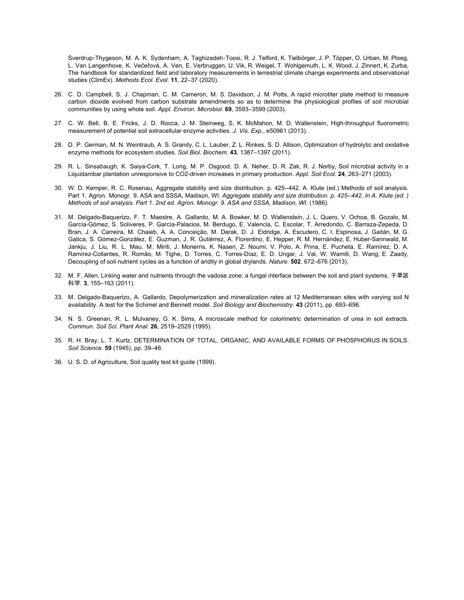Sverdrup-Thygeson, M. A. K. Sydenham, A. [Taghizadeh](http://paperpile.com/b/Xm6ekv/ZgCc)-Toosi, R. J. Telford, K. Tielbörger, J. P. Töpper, O. Urban, M. Ploeg, L. Van Langenhove, K. Večeřová, A. Ven, E. Verbruggen, U. Vik, R. Weigel, T. [Wohlgemuth,](http://paperpile.com/b/Xm6ekv/ZgCc) L. K. Wood, J. Zinnert, K. Zurba, The handbook for standardized field and laboratory [measurements](http://paperpile.com/b/Xm6ekv/ZgCc) in terrestrial climate change experiments and observational studies [\(ClimEx\).](http://paperpile.com/b/Xm6ekv/ZgCc) *[Methods](http://paperpile.com/b/Xm6ekv/ZgCc) Ecol. Evol.* **[11](http://paperpile.com/b/Xm6ekv/ZgCc)**, 22–37 [\(2020\).](http://paperpile.com/b/Xm6ekv/ZgCc)

- 26. C. D. Campbell, S. J. [Chapman,](http://paperpile.com/b/Xm6ekv/Y34r) C. M. Cameron, M. S. Davidson, J. M. Potts, A rapid microtiter plate method to measure carbon dioxide evolved from carbon substrate [amendments](http://paperpile.com/b/Xm6ekv/Y34r) so as to determine the physiological profiles of soil microbial [communities](http://paperpile.com/b/Xm6ekv/Y34r) by using whole soil. *Appl. Environ. [Microbiol.](http://paperpile.com/b/Xm6ekv/Y34r)* **[69](http://paperpile.com/b/Xm6ekv/Y34r)**, [3593–3599](http://paperpile.com/b/Xm6ekv/Y34r) (2003).
- 27. C. W. Bell, B. E. Fricks, J. D. Rocca, J. M. Steinweg, S. K. McMahon, M. D. Wallenstein, [High-throughput](http://paperpile.com/b/Xm6ekv/IR3U) fluorometric [measurement](http://paperpile.com/b/Xm6ekv/IR3U) of potential soil extracellular enzyme activities. *J. Vis. [Exp.](http://paperpile.com/b/Xm6ekv/IR3U)*, [e50961](http://paperpile.com/b/Xm6ekv/IR3U) (2013).
- 28. D. P. German, M. N. Weintraub, A. S. Grandy, C. L. Lauber, Z. L. Rinkes, S. D. Allison, [Optimization](http://paperpile.com/b/Xm6ekv/N21P) of hydrolytic and oxidative enzyme methods for [ecosystem](http://paperpile.com/b/Xm6ekv/N21P) studies. *Soil Biol. [Biochem.](http://paperpile.com/b/Xm6ekv/N21P)* **[43](http://paperpile.com/b/Xm6ekv/N21P)**, [1387–1397](http://paperpile.com/b/Xm6ekv/N21P) (2011).
- 29. R. L. [Sinsabaugh,](http://paperpile.com/b/Xm6ekv/klYB) K. Saiya-Cork, T. Long, M. P. Osgood, D. A. Neher, D. R. Zak, R. J. Norby, Soil microbial activity in a Liquidambar plantation [unresponsive](http://paperpile.com/b/Xm6ekv/klYB) to CO2-driven increases in primary production. *[Appl.](http://paperpile.com/b/Xm6ekv/klYB) Soil Ecol[.](http://paperpile.com/b/Xm6ekv/klYB)* **[24](http://paperpile.com/b/Xm6ekv/klYB)**, [263–271](http://paperpile.com/b/Xm6ekv/klYB) (2003).
- 30. W. D. Kemper, R. C. Rosenau, Aggregate stability and size [distribution.](http://paperpile.com/b/Xm6ekv/QfE0) p. 425--442. A. Klute (ed.) Methods of soil analysis. Part 1. Agron. Monogr. 9. ASA and SSSA, [Madison,](http://paperpile.com/b/Xm6ekv/QfE0) WI. *Aggregate stability and size [distribution.](http://paperpile.com/b/Xm6ekv/QfE0) p. 425--442. In A. Klute (ed. ) Methods of soil analysis. Part 1. 2nd ed. Agron. Monogr. 9. ASA and SSSA, [Madison,](http://paperpile.com/b/Xm6ekv/QfE0) WI.* [\(1986\).](http://paperpile.com/b/Xm6ekv/QfE0)
- 31. M. [Delgado-Baquerizo,](http://paperpile.com/b/Xm6ekv/pne2) F. T. Maestre, A. Gallardo, M. A. Bowker, M. D. Wallenstein, J. L. Quero, V. Ochoa, B. Gozalo, M. García-Gómez, S. Soliveres, P. García-Palacios, M. Berdugo, E. Valencia, C. Escolar, T. Arredondo, C. [Barraza-Zepeda,](http://paperpile.com/b/Xm6ekv/pne2) D. Bran, J. A. Carreira, M. Chaieb, A. A. [Conceição,](http://paperpile.com/b/Xm6ekv/pne2) M. Derak, D. J. Eldridge, A. Escudero, C. I. Espinosa, J. Gaitán, M. G. Gatica, S. [Gómez-González,](http://paperpile.com/b/Xm6ekv/pne2) E. Guzman, J. R. Gutiérrez, A. Florentino, E. Hepper, R. M. Hernández, E. Huber-Sannwald, M. Jankju, J. Liu, R. L. Mau, M. Miriti, J. [Monerris,](http://paperpile.com/b/Xm6ekv/pne2) K. Naseri, Z. Noumi, V. Polo, A. Prina, E. Pucheta, E. Ramírez, D. A. [Ramírez-Collantes,](http://paperpile.com/b/Xm6ekv/pne2) R. Romão, M. Tighe, D. Torres, C. Torres-Díaz, E. D. Ungar, J. Val, W. Wamiti, D. Wang, E. Zaady, [Decoupling](http://paperpile.com/b/Xm6ekv/pne2) of soil nutrient cycles as a function of aridity in global drylands. *[Nature](http://paperpile.com/b/Xm6ekv/pne2)*[.](http://paperpile.com/b/Xm6ekv/pne2) **[502](http://paperpile.com/b/Xm6ekv/pne2)**, [672–676](http://paperpile.com/b/Xm6ekv/pne2) (2013).
- 32. M. F. Allen, Linking water and nutrients through the vadose zone: a fungal interface between the soil and plant [systems.](http://paperpile.com/b/Xm6ekv/lO4S) 干旱区 [科学](http://paperpile.com/b/Xm6ekv/lO4S). **[3](http://paperpile.com/b/Xm6ekv/lO4S)**, [155–163](http://paperpile.com/b/Xm6ekv/lO4S) (2011).
- 33. M. [Delgado-Baquerizo,](http://paperpile.com/b/Xm6ekv/tVOV) A. Gallardo, Depolymerization and mineralization rates at 12 Mediterranean sites with varying soil N [availability.](http://paperpile.com/b/Xm6ekv/tVOV) A test for the Schimel and Bennett model. *Soil Biology and [Biochemistry](http://paperpile.com/b/Xm6ekv/tVOV)*[.](http://paperpile.com/b/Xm6ekv/tVOV) **[43](http://paperpile.com/b/Xm6ekv/tVOV)** (2011), pp. [693–696.](http://paperpile.com/b/Xm6ekv/tVOV)
- 34. N. S. Greenan, R. L. Mulvaney, G. K. Sims, A microscale method for colorimetric [determination](http://paperpile.com/b/Xm6ekv/eqLk) of urea in soil extracts. *[Commun.](http://paperpile.com/b/Xm6ekv/eqLk) Soil Sci. Plant Anal[.](http://paperpile.com/b/Xm6ekv/eqLk)* **[26](http://paperpile.com/b/Xm6ekv/eqLk)**, [2519–2529](http://paperpile.com/b/Xm6ekv/eqLk) (1995).
- 35. R. H. Bray, L. T. Kurtz, [DETERMINATION](http://paperpile.com/b/Xm6ekv/WAH1) OF TOTAL, ORGANIC, AND AVAILABLE FORMS OF PHOSPHORUS IN SOILS. *Soil [Science](http://paperpile.com/b/Xm6ekv/WAH1)*[.](http://paperpile.com/b/Xm6ekv/WAH1) **[59](http://paperpile.com/b/Xm6ekv/WAH1)** [\(1945\),](http://paperpile.com/b/Xm6ekv/WAH1) pp. 39–46.
- 36. U. S. D. of [Agriculture,](http://paperpile.com/b/Xm6ekv/8R0w) Soil quality test kit guide (1999).